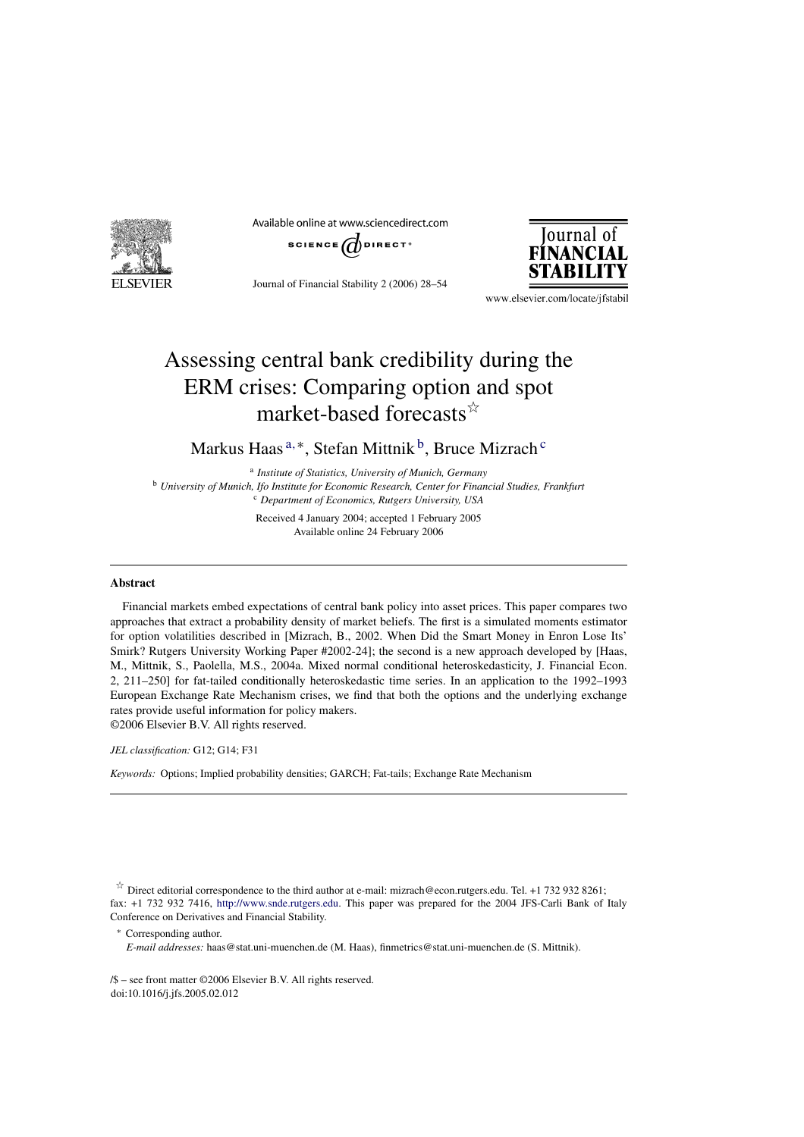

Available online at www.sciencedirect.com



Journal of Financial Stability 2 (2006) 28–54



www.elsevier.com/locate/jfstabil

# Assessing central bank credibility during the ERM crises: Comparing option and spot market-based forecasts $\mathbb{R}^{\uparrow}$

Markus Haas<sup>a,\*</sup>, Stefan Mittnik<sup>b</sup>, Bruce Mizrach<sup>c</sup>

<sup>a</sup> *Institute of Statistics, University of Munich, Germany* <sup>b</sup> *University of Munich, Ifo Institute for Economic Research, Center for Financial Studies, Frankfurt* <sup>c</sup> *Department of Economics, Rutgers University, USA*

> Received 4 January 2004; accepted 1 February 2005 Available online 24 February 2006

#### **Abstract**

Financial markets embed expectations of central bank policy into asset prices. This paper compares two approaches that extract a probability density of market beliefs. The first is a simulated moments estimator for option volatilities described in [Mizrach, B., 2002. When Did the Smart Money in Enron Lose Its' Smirk? Rutgers University Working Paper #2002-24]; the second is a new approach developed by [Haas, M., Mittnik, S., Paolella, M.S., 2004a. Mixed normal conditional heteroskedasticity, J. Financial Econ. 2, 211–250] for fat-tailed conditionally heteroskedastic time series. In an application to the 1992–1993 European Exchange Rate Mechanism crises, we find that both the options and the underlying exchange rates provide useful information for policy makers. ©2006 Elsevier B.V. All rights reserved.

*JEL classification:* G12; G14; F31

*Keywords:* Options; Implied probability densities; GARCH; Fat-tails; Exchange Rate Mechanism

 $\overrightarrow{r}$  Direct editorial correspondence to the third author at e-mail: mizrach@econ.rutgers.edu. Tel. +1 732 932 8261; fax: +1 732 932 7416, [http://www.snde.rutgers.edu.](http://www.snde.rutgers.edu) This paper was prepared for the 2004 JFS-Carli Bank of Italy Conference on Derivatives and Financial Stability.

<sup>∗</sup> Corresponding author.

*E-mail addresses:* haas@stat.uni-muenchen.de (M. Haas), finmetrics@stat.uni-muenchen.de (S. Mittnik).

/\$ – see front matter ©2006 Elsevier B.V. All rights reserved. doi:10.1016/j.jfs.2005.02.012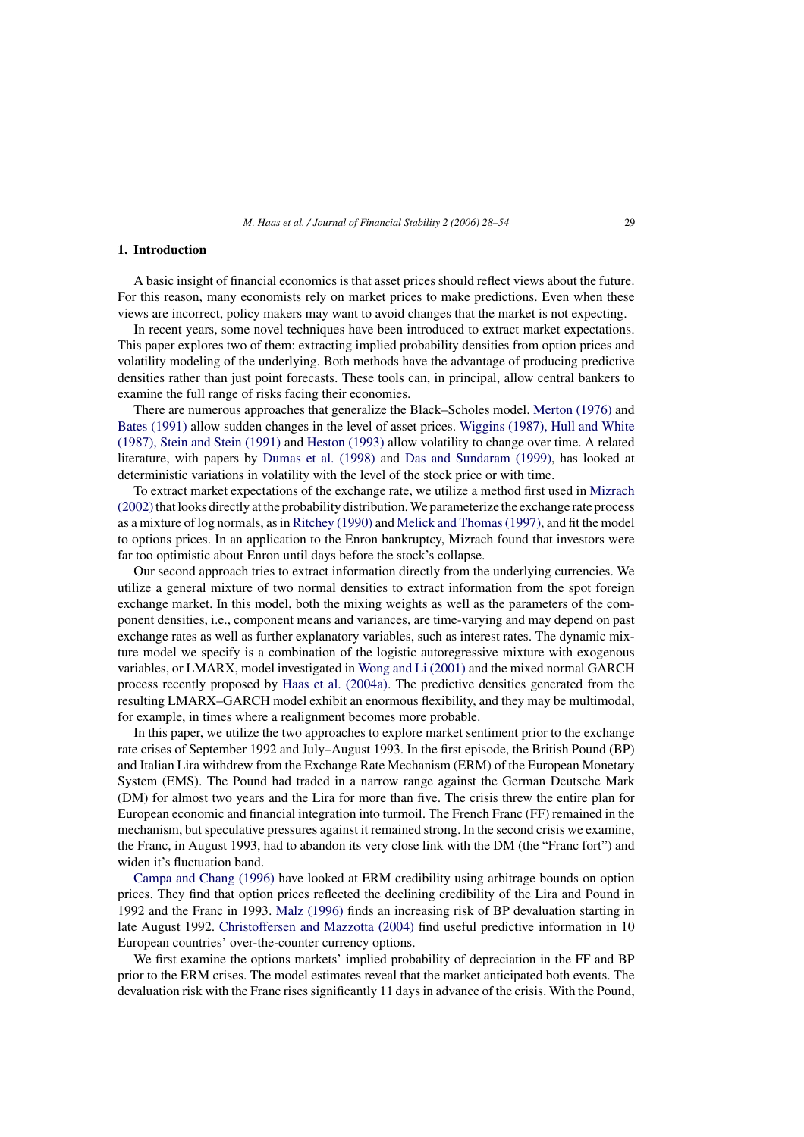#### **1. Introduction**

A basic insight of financial economics is that asset prices should reflect views about the future. For this reason, many economists rely on market prices to make predictions. Even when these views are incorrect, policy makers may want to avoid changes that the market is not expecting.

In recent years, some novel techniques have been introduced to extract market expectations. This paper explores two of them: extracting implied probability densities from option prices and volatility modeling of the underlying. Both methods have the advantage of producing predictive densities rather than just point forecasts. These tools can, in principal, allow central bankers to examine the full range of risks facing their economies.

There are numerous approaches that generalize the Black–Scholes model. [Merton \(1976\)](#page-26-0) and [Bates \(1991\)](#page-25-0) allow sudden changes in the level of asset prices. [Wiggins \(1987\), Hull and White](#page-26-0) [\(1987\), Stein and Stein \(1991\)](#page-26-0) and [Heston \(1993\)](#page-25-0) allow volatility to change over time. A related literature, with papers by [Dumas et al. \(1998\)](#page-25-0) and [Das and Sundaram \(1999\),](#page-25-0) has looked at deterministic variations in volatility with the level of the stock price or with time.

To extract market expectations of the exchange rate, we utilize a method first used in [Mizrach](#page-26-0) (2002) that looks directly at the probability distribution. We parameterize the exchange rate process as a mixture of log normals, as in [Ritchey \(1990\)](#page-26-0) [a](#page-26-0)nd [Melick and Thomas \(1997\), a](#page-25-0)nd fit the model to options prices. In an application to the Enron bankruptcy, Mizrach found that investors were far too optimistic about Enron until days before the stock's collapse.

Our second approach tries to extract information directly from the underlying currencies. We utilize a general mixture of two normal densities to extract information from the spot foreign exchange market. In this model, both the mixing weights as well as the parameters of the component densities, i.e., component means and variances, are time-varying and may depend on past exchange rates as well as further explanatory variables, such as interest rates. The dynamic mixture model we specify is a combination of the logistic autoregressive mixture with exogenous variables, or LMARX, model investigated in [Wong and Li \(2001\)](#page-26-0) and the mixed normal GARCH process recently proposed by [Haas et al. \(2004a\).](#page-25-0) The predictive densities generated from the resulting LMARX–GARCH model exhibit an enormous flexibility, and they may be multimodal, for example, in times where a realignment becomes more probable.

In this paper, we utilize the two approaches to explore market sentiment prior to the exchange rate crises of September 1992 and July–August 1993. In the first episode, the British Pound (BP) and Italian Lira withdrew from the Exchange Rate Mechanism (ERM) of the European Monetary System (EMS). The Pound had traded in a narrow range against the German Deutsche Mark (DM) for almost two years and the Lira for more than five. The crisis threw the entire plan for European economic and financial integration into turmoil. The French Franc (FF) remained in the mechanism, but speculative pressures against it remained strong. In the second crisis we examine, the Franc, in August 1993, had to abandon its very close link with the DM (the "Franc fort") and widen it's fluctuation band.

[Campa and Chang \(1996\)](#page-25-0) have looked at ERM credibility using arbitrage bounds on option prices. They find that option prices reflected the declining credibility of the Lira and Pound in 1992 and the Franc in 1993. [Malz \(1996\)](#page-25-0) finds an increasing risk of BP devaluation starting in late August 1992. [Christoffersen and Mazzotta \(2004\)](#page-25-0) find useful predictive information in 10 European countries' over-the-counter currency options.

We first examine the options markets' implied probability of depreciation in the FF and BP prior to the ERM crises. The model estimates reveal that the market anticipated both events. The devaluation risk with the Franc rises significantly 11 days in advance of the crisis. With the Pound,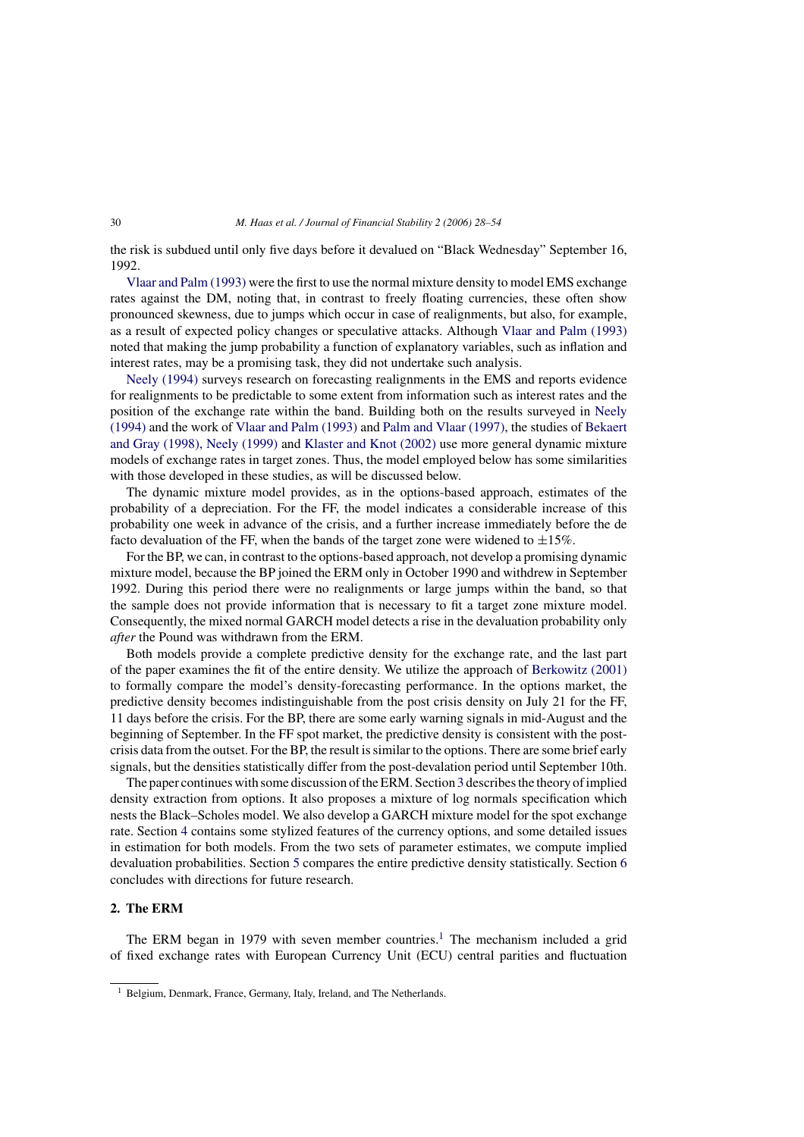the risk is subdued until only five days before it devalued on "Black Wednesday" September 16, 1992.

[Vlaar and Palm \(1993\)](#page-26-0) were the first to use the normal mixture density to model EMS exchange rates against the DM, noting that, in contrast to freely floating currencies, these often show pronounced skewness, due to jumps which occur in case of realignments, but also, for example, as a result of expected policy changes or speculative attacks. Although [Vlaar and Palm \(1993\)](#page-26-0) noted that making the jump probability a function of explanatory variables, such as inflation and interest rates, may be a promising task, they did not undertake such analysis.

[Neely \(1994\)](#page-26-0) surveys research on forecasting realignments in the EMS and reports evidence for realignments to be predictable to some extent from information such as interest rates and the position of the exchange rate within the band. Building both on the results surveyed in [Neely](#page-26-0) [\(1994\)](#page-26-0) and the work of [Vlaar and Palm \(1993\)](#page-26-0) and [Palm and Vlaar \(1997\), t](#page-26-0)he studies of [Bekaert](#page-25-0) and Gray [\(1998\), Neely \(1999\)](#page-25-0) and [Klaster and Knot \(2002\)](#page-25-0) use more general dynamic mixture models of exchange rates in target zones. Thus, the model employed below has some similarities with those developed in these studies, as will be discussed below.

The dynamic mixture model provides, as in the options-based approach, estimates of the probability of a depreciation. For the FF, the model indicates a considerable increase of this probability one week in advance of the crisis, and a further increase immediately before the de facto devaluation of the FF, when the bands of the target zone were widened to  $\pm 15\%$ .

For the BP, we can, in contrast to the options-based approach, not develop a promising dynamic mixture model, because the BP joined the ERM only in October 1990 and withdrew in September 1992. During this period there were no realignments or large jumps within the band, so that the sample does not provide information that is necessary to fit a target zone mixture model. Consequently, the mixed normal GARCH model detects a rise in the devaluation probability only *after* the Pound was withdrawn from the ERM.

Both models provide a complete predictive density for the exchange rate, and the last part of the paper examines the fit of the entire density. We utilize the approach of [Berkowitz \(2001\)](#page-25-0) to formally compare the model's density-forecasting performance. In the options market, the predictive density becomes indistinguishable from the post crisis density on July 21 for the FF, 11 days before the crisis. For the BP, there are some early warning signals in mid-August and the beginning of September. In the FF spot market, the predictive density is consistent with the postcrisis data from the outset. For the BP, the result is similar to the options. There are some brief early signals, but the densities statistically differ from the post-devalation period until September 10th.

The paper continues with some discussion of the ERM. Section [3](#page-3-0) describes the theory of implied density extraction from options. It also proposes a mixture of log normals specification which nests the Black–Scholes model. We also develop a GARCH mixture model for the spot exchange rate. Section [4](#page-9-0) contains some stylized features of the currency options, and some detailed issues in estimation for both models. From the two sets of parameter estimates, we compute implied devaluation probabilities. Section [5](#page-20-0) compares the entire predictive density statistically. Section [6](#page-24-0) concludes with directions for future research.

# **2. The ERM**

The ERM began in 1979 with seven member countries.<sup>1</sup> The mechanism included a grid of fixed exchange rates with European Currency Unit (ECU) central parities and fluctuation

<sup>&</sup>lt;sup>1</sup> Belgium, Denmark, France, Germany, Italy, Ireland, and The Netherlands.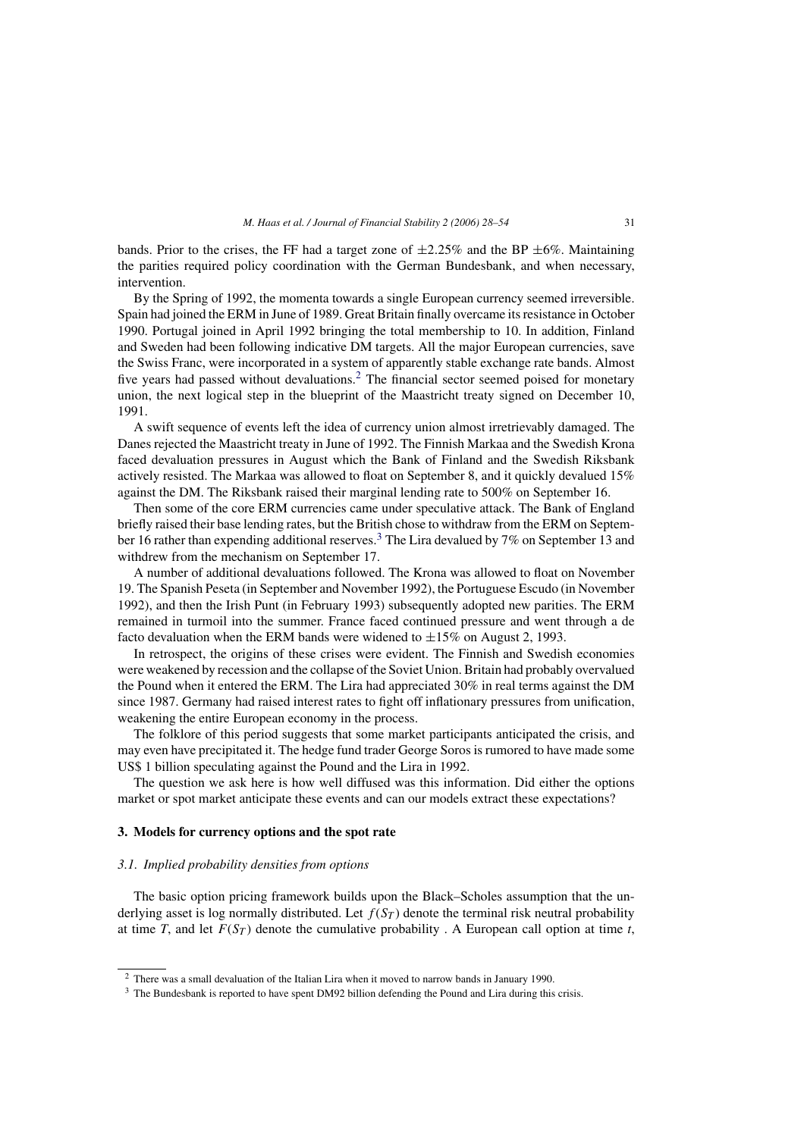<span id="page-3-0"></span>bands. Prior to the crises, the FF had a target zone of  $\pm 2.25\%$  and the BP  $\pm 6\%$ . Maintaining the parities required policy coordination with the German Bundesbank, and when necessary, intervention.

By the Spring of 1992, the momenta towards a single European currency seemed irreversible. Spain had joined the ERM in June of 1989. Great Britain finally overcame its resistance in October 1990. Portugal joined in April 1992 bringing the total membership to 10. In addition, Finland and Sweden had been following indicative DM targets. All the major European currencies, save the Swiss Franc, were incorporated in a system of apparently stable exchange rate bands. Almost five years had passed without devaluations.<sup>2</sup> The financial sector seemed poised for monetary union, the next logical step in the blueprint of the Maastricht treaty signed on December 10, 1991.

A swift sequence of events left the idea of currency union almost irretrievably damaged. The Danes rejected the Maastricht treaty in June of 1992. The Finnish Markaa and the Swedish Krona faced devaluation pressures in August which the Bank of Finland and the Swedish Riksbank actively resisted. The Markaa was allowed to float on September 8, and it quickly devalued 15% against the DM. The Riksbank raised their marginal lending rate to 500% on September 16.

Then some of the core ERM currencies came under speculative attack. The Bank of England briefly raised their base lending rates, but the British chose to withdraw from the ERM on September 16 rather than expending additional reserves.<sup>3</sup> The Lira devalued by 7% on September 13 and withdrew from the mechanism on September 17.

A number of additional devaluations followed. The Krona was allowed to float on November 19. The Spanish Peseta (in September and November 1992), the Portuguese Escudo (in November 1992), and then the Irish Punt (in February 1993) subsequently adopted new parities. The ERM remained in turmoil into the summer. France faced continued pressure and went through a de facto devaluation when the ERM bands were widened to  $\pm 15\%$  on August 2, 1993.

In retrospect, the origins of these crises were evident. The Finnish and Swedish economies were weakened by recession and the collapse of the Soviet Union. Britain had probably overvalued the Pound when it entered the ERM. The Lira had appreciated 30% in real terms against the DM since 1987. Germany had raised interest rates to fight off inflationary pressures from unification, weakening the entire European economy in the process.

The folklore of this period suggests that some market participants anticipated the crisis, and may even have precipitated it. The hedge fund trader George Soros is rumored to have made some US\$ 1 billion speculating against the Pound and the Lira in 1992.

The question we ask here is how well diffused was this information. Did either the options market or spot market anticipate these events and can our models extract these expectations?

#### **3. Models for currency options and the spot rate**

#### *3.1. Implied probability densities from options*

The basic option pricing framework builds upon the Black–Scholes assumption that the underlying asset is log normally distributed. Let  $f(S_T)$  denote the terminal risk neutral probability at time *T*, and let  $F(S_T)$  denote the cumulative probability . A European call option at time *t*,

<sup>&</sup>lt;sup>2</sup> There was a small devaluation of the Italian Lira when it moved to narrow bands in January 1990.

<sup>&</sup>lt;sup>3</sup> The Bundesbank is reported to have spent DM92 billion defending the Pound and Lira during this crisis.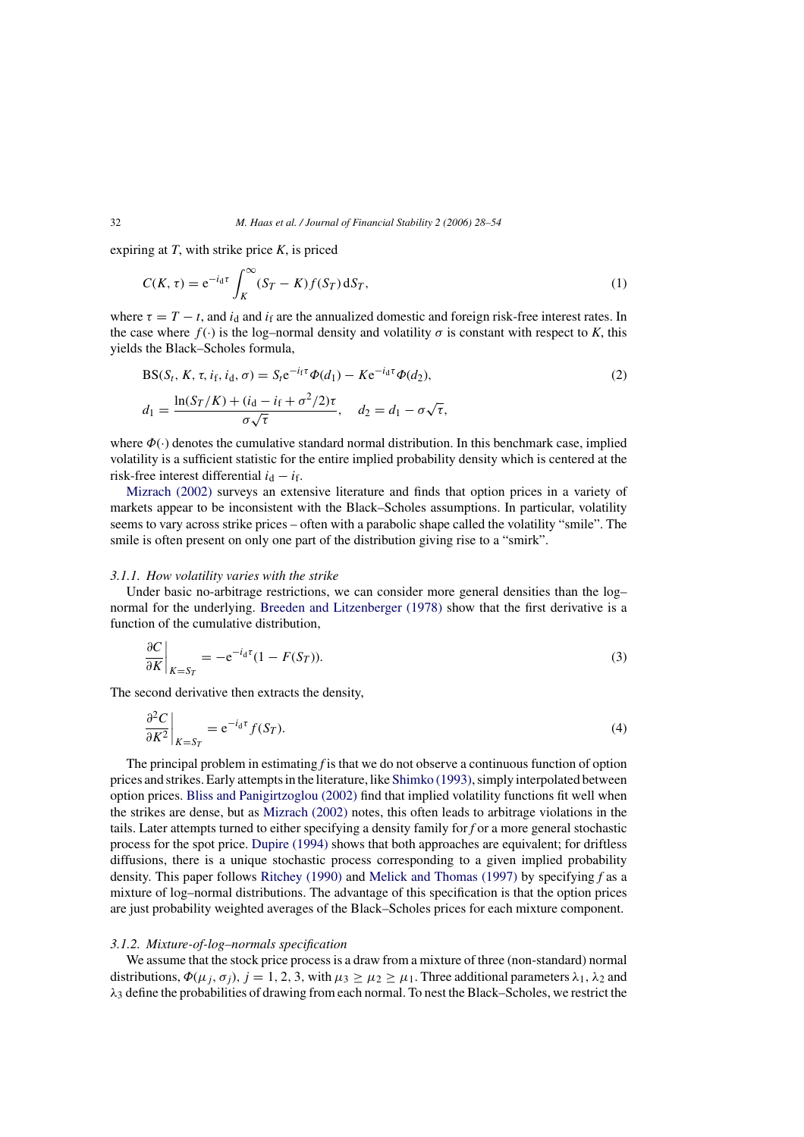expiring at *T*, with strike price *K*, is priced

$$
C(K,\tau) = e^{-i_d \tau} \int_K^{\infty} (S_T - K) f(S_T) dS_T,
$$
\n(1)

where  $\tau = T - t$ , and  $i_d$  and  $i_f$  are the annualized domestic and foreign risk-free interest rates. In the case where  $f(\cdot)$  is the log–normal density and volatility  $\sigma$  is constant with respect to *K*, this yields the Black–Scholes formula,

$$
BS(St, K, \tau, if, id, \sigma) = St e^{-if\tau} \Phi(d1) - Ke^{-id\tau} \Phi(d2),
$$
  
\n
$$
d1 = \frac{\ln(S_T/K) + (id - if + \sigma^2/2)\tau}{\sigma\sqrt{\tau}}, \quad d2 = d1 - \sigma\sqrt{\tau},
$$
\n(2)

where  $\Phi(\cdot)$  denotes the cumulative standard normal distribution. In this benchmark case, implied volatility is a sufficient statistic for the entire implied probability density which is centered at the risk-free interest differential  $i_d - i_f$ .

[Mizrach \(2002\)](#page-26-0) surveys an extensive literature and finds that option prices in a variety of markets appear to be inconsistent with the Black–Scholes assumptions. In particular, volatility seems to vary across strike prices – often with a parabolic shape called the volatility "smile". The smile is often present on only one part of the distribution giving rise to a "smirk".

#### *3.1.1. How volatility varies with the strike*

Under basic no-arbitrage restrictions, we can consider more general densities than the log– normal for the underlying. [Breeden and Litzenberger \(1978\)](#page-25-0) show that the first derivative is a function of the cumulative distribution,

$$
\left. \frac{\partial C}{\partial K} \right|_{K = S_T} = -e^{-i_d \tau} (1 - F(S_T)). \tag{3}
$$

The second derivative then extracts the density,

$$
\left. \frac{\partial^2 C}{\partial K^2} \right|_{K = S_T} = e^{-i_d \tau} f(S_T). \tag{4}
$$

The principal problem in estimating *f* is that we do not observe a continuous function of option prices and strikes. Early attempts in the literature, like [Shimko \(1993\), s](#page-26-0)imply interpolated between option prices. [Bliss and Panigirtzoglou \(2002\)](#page-25-0) find that implied volatility functions fit well when the strikes are dense, but as [Mizrach \(2002\)](#page-26-0) notes, this often leads to arbitrage violations in the tails. Later attempts turned to either specifying a density family for *f* or a more general stochastic process for the spot price. [Dupire \(1994\)](#page-25-0) shows that both approaches are equivalent; for driftless diffusions, there is a unique stochastic process corresponding to a given implied probability density. This paper follows [Ritchey \(1990\)](#page-26-0) and [Melick and Thomas \(1997\)](#page-25-0) by specifying *f* as a mixture of log–normal distributions. The advantage of this specification is that the option prices are just probability weighted averages of the Black–Scholes prices for each mixture component.

#### *3.1.2. Mixture-of-log–normals specification*

We assume that the stock price process is a draw from a mixture of three (non-standard) normal distributions,  $\Phi(\mu_j, \sigma_j)$ ,  $j = 1, 2, 3$ , with  $\mu_3 \geq \mu_2 \geq \mu_1$ . Three additional parameters  $\lambda_1, \lambda_2$  and  $\lambda_3$  define the probabilities of drawing from each normal. To nest the Black–Scholes, we restrict the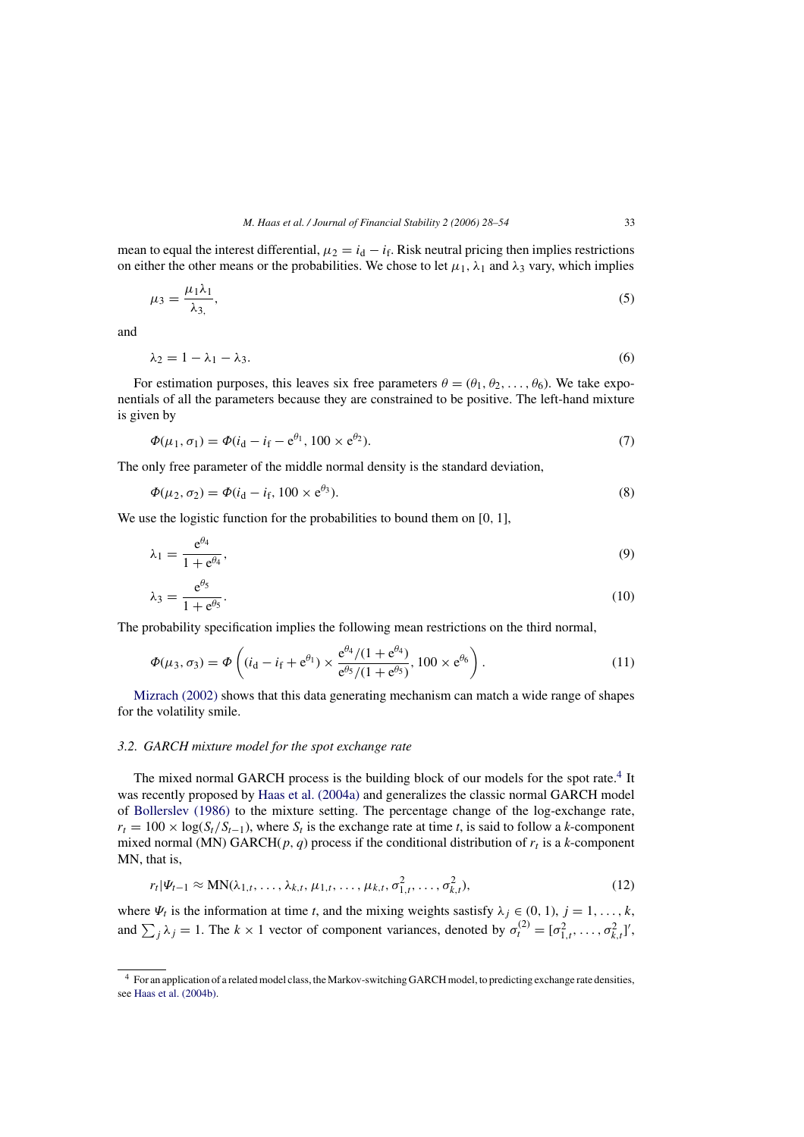<span id="page-5-0"></span>mean to equal the interest differential,  $\mu_2 = i_d - i_f$ . Risk neutral pricing then implies restrictions on either the other means or the probabilities. We chose to let  $\mu_1$ ,  $\lambda_1$  and  $\lambda_3$  vary, which implies

$$
\mu_3 = \frac{\mu_1 \lambda_1}{\lambda_3},\tag{5}
$$

and

$$
\lambda_2 = 1 - \lambda_1 - \lambda_3. \tag{6}
$$

For estimation purposes, this leaves six free parameters  $\theta = (\theta_1, \theta_2, \dots, \theta_6)$ . We take exponentials of all the parameters because they are constrained to be positive. The left-hand mixture is given by

$$
\Phi(\mu_1, \sigma_1) = \Phi(i_d - i_f - e^{\theta_1}, 100 \times e^{\theta_2}).\tag{7}
$$

The only free parameter of the middle normal density is the standard deviation,

$$
\Phi(\mu_2, \sigma_2) = \Phi(i_d - i_f, 100 \times e^{\theta_3}).\tag{8}
$$

We use the logistic function for the probabilities to bound them on [0, 1],

$$
\lambda_1 = \frac{e^{\theta_4}}{1 + e^{\theta_4}},\tag{9}
$$

$$
\lambda_3 = \frac{e^{\theta_5}}{1 + e^{\theta_5}}.\tag{10}
$$

The probability specification implies the following mean restrictions on the third normal,

$$
\Phi(\mu_3, \sigma_3) = \Phi\left( (i_d - i_f + e^{\theta_1}) \times \frac{e^{\theta_4} / (1 + e^{\theta_4})}{e^{\theta_5} / (1 + e^{\theta_5})}, 100 \times e^{\theta_6} \right). \tag{11}
$$

[Mizrach \(2002\)](#page-26-0) shows that this data generating mechanism can match a wide range of shapes for the volatility smile.

# *3.2. GARCH mixture model for the spot exchange rate*

The mixed normal GARCH process is the building block of our models for the spot rate.<sup>4</sup> It was recently proposed by [Haas et al. \(2004a\)](#page-25-0) and generalizes the classic normal GARCH model of [Bollerslev \(1986\)](#page-25-0) to the mixture setting. The percentage change of the log-exchange rate,  $r_t = 100 \times \log(S_t/S_{t-1})$ , where  $S_t$  is the exchange rate at time *t*, is said to follow a *k*-component mixed normal (MN) GARCH( $p, q$ ) process if the conditional distribution of  $r_t$  is a *k*-component MN, that is,

$$
r_t|\Psi_{t-1} \approx \text{MN}(\lambda_{1,t}, \dots, \lambda_{k,t}, \mu_{1,t}, \dots, \mu_{k,t}, \sigma_{1,t}^2, \dots, \sigma_{k,t}^2),
$$
 (12)

where  $\Psi_t$  is the information at time *t*, and the mixing weights sastisfy  $\lambda_i \in (0, 1), j = 1, \ldots, k$ , and  $\sum_j \lambda_j = 1$ . The  $k \times 1$  vector of component variances, denoted by  $\sigma_t^{(2)} = [\sigma_{1,t}^2, \ldots, \sigma_{k,t}^2]'$ ,

<sup>4</sup> For an application of a related model class, the Markov-switching GARCH model, to predicting exchange rate densities, see [Haas et al. \(2004b\).](#page-25-0)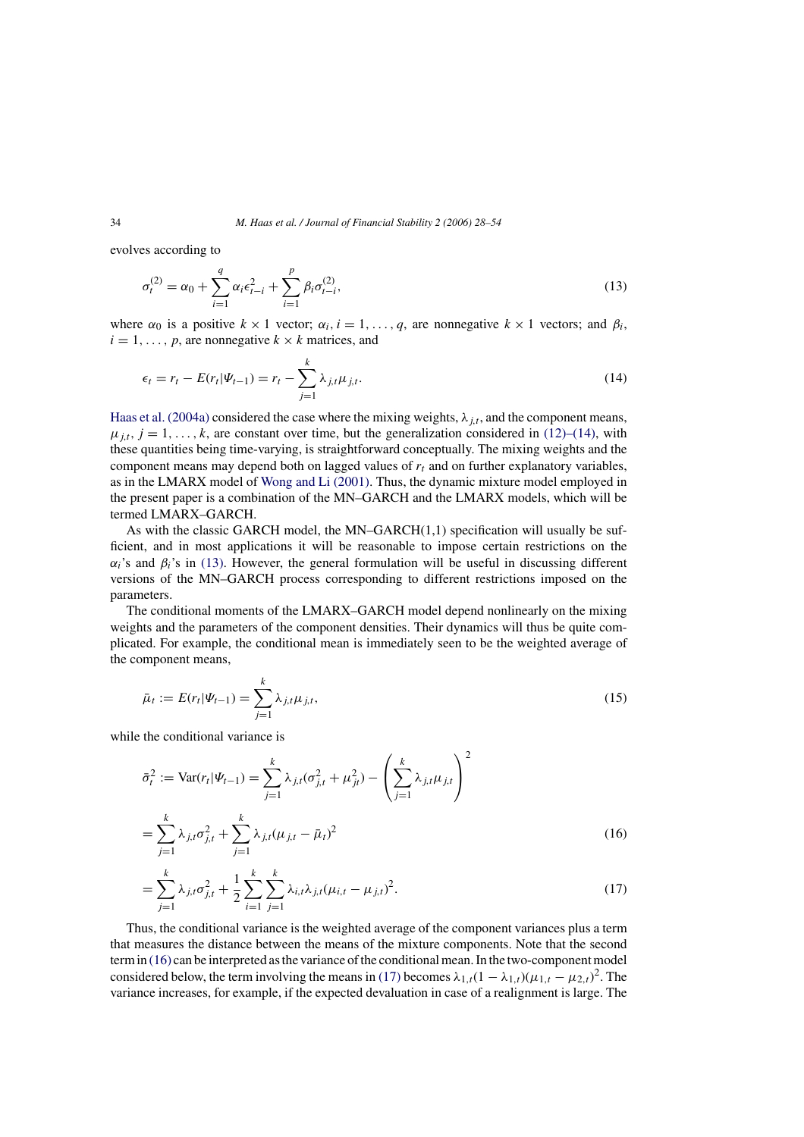<span id="page-6-0"></span>evolves according to

$$
\sigma_t^{(2)} = \alpha_0 + \sum_{i=1}^q \alpha_i \epsilon_{t-i}^2 + \sum_{i=1}^p \beta_i \sigma_{t-i}^{(2)},
$$
\n(13)

where  $\alpha_0$  is a positive  $k \times 1$  vector;  $\alpha_i$ ,  $i = 1, \ldots, q$ , are nonnegative  $k \times 1$  vectors; and  $\beta_i$ ,  $i = 1, \ldots, p$ , are nonnegative  $k \times k$  matrices, and

$$
\epsilon_t = r_t - E(r_t|\Psi_{t-1}) = r_t - \sum_{j=1}^k \lambda_{j,t} \mu_{j,t}.
$$
\n(14)

[Haas et al. \(2004a\)](#page-25-0) considered the case where the mixing weights,  $\lambda_{i,t}$ , and the component means,  $\mu_{i,t}$ ,  $j = 1, \ldots, k$ , are constant over time, but the generalization considered in [\(12\)–\(14\),](#page-5-0) with these quantities being time-varying, is straightforward conceptually. The mixing weights and the component means may depend both on lagged values of  $r_t$  and on further explanatory variables, as in the LMARX model of [Wong and Li \(2001\).](#page-26-0) Thus, the dynamic mixture model employed in the present paper is a combination of the MN–GARCH and the LMARX models, which will be termed LMARX–GARCH.

As with the classic GARCH model, the MN–GARCH(1,1) specification will usually be sufficient, and in most applications it will be reasonable to impose certain restrictions on the  $\alpha_i$ 's and  $\beta_i$ 's in (13). However, the general formulation will be useful in discussing different versions of the MN–GARCH process corresponding to different restrictions imposed on the parameters.

The conditional moments of the LMARX–GARCH model depend nonlinearly on the mixing weights and the parameters of the component densities. Their dynamics will thus be quite complicated. For example, the conditional mean is immediately seen to be the weighted average of the component means,

$$
\bar{\mu}_t := E(r_t|\Psi_{t-1}) = \sum_{j=1}^k \lambda_{j,t} \mu_{j,t},
$$
\n(15)

while the conditional variance is

$$
\bar{\sigma}_t^2 := \text{Var}(r_t|\Psi_{t-1}) = \sum_{j=1}^k \lambda_{j,t}(\sigma_{j,t}^2 + \mu_{jt}^2) - \left(\sum_{j=1}^k \lambda_{j,t}\mu_{j,t}\right)^2
$$

$$
= \sum_{j=1}^k \lambda_{j,t}\sigma_{j,t}^2 + \sum_{j=1}^k \lambda_{j,t}(\mu_{j,t} - \bar{\mu}_t)^2
$$
(16)

$$
= \sum_{j=1}^{k} \lambda_{j,t} \sigma_{j,t}^2 + \frac{1}{2} \sum_{i=1}^{k} \sum_{j=1}^{k} \lambda_{i,t} \lambda_{j,t} (\mu_{i,t} - \mu_{j,t})^2.
$$
 (17)

Thus, the conditional variance is the weighted average of the component variances plus a term that measures the distance between the means of the mixture components. Note that the second term in (16) can be interpreted as the variance of the conditional mean. In the two-component model considered below, the term involving the means in (17) becomes  $\lambda_{1,t}(1 - \lambda_{1,t})(\mu_{1,t} - \mu_{2,t})^2$ . The variance increases, for example, if the expected devaluation in case of a realignment is large. The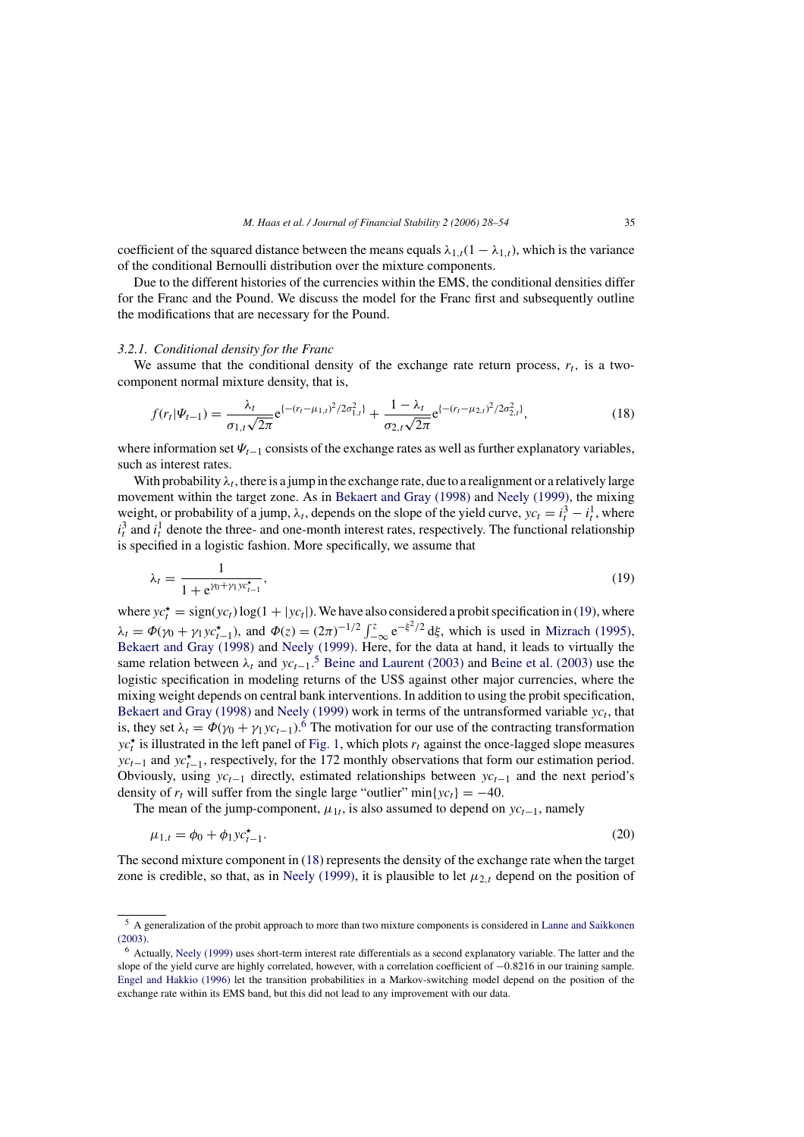<span id="page-7-0"></span>coefficient of the squared distance between the means equals  $\lambda_{1,t}(1 - \lambda_{1,t})$ , which is the variance of the conditional Bernoulli distribution over the mixture components.

Due to the different histories of the currencies within the EMS, the conditional densities differ for the Franc and the Pound. We discuss the model for the Franc first and subsequently outline the modifications that are necessary for the Pound.

#### *3.2.1. Conditional density for the Franc*

We assume that the conditional density of the exchange rate return process,  $r_t$ , is a twocomponent normal mixture density, that is,

$$
f(r_t|\Psi_{t-1}) = \frac{\lambda_t}{\sigma_{1,t}\sqrt{2\pi}} e^{\{- (r_t - \mu_{1,t})^2 / 2\sigma_{1,t}^2\}} + \frac{1 - \lambda_t}{\sigma_{2,t}\sqrt{2\pi}} e^{\{- (r_t - \mu_{2,t})^2 / 2\sigma_{2,t}^2\}},
$$
(18)

where information set  $\Psi_{t-1}$  consists of the exchange rates as well as further explanatory variables, such as interest rates.

With probability  $\lambda_t$ , there is a jump in the exchange rate, due to a realignment or a relatively large movement within the target zone. As in [Bekaert and Gray \(1998\)](#page-25-0) and [Neely \(1999\),](#page-26-0) the mixing weight, or probability of a jump,  $\lambda_t$ , depends on the slope of the yield curve,  $yc_t = i_t^3 - i_t^1$ , where  $i_t^3$  and  $i_t^1$  denote the three- and one-month interest rates, respectively. The functional relationship is specified in a logistic fashion. More specifically, we assume that

$$
\lambda_t = \frac{1}{1 + e^{\gamma_0 + \gamma_1 y c_{t-1}^*}},\tag{19}
$$

where  $yc_t^* = sign(yc_t) \log(1 + |yc_t|)$ . We have also considered a probit specification in (19), where  $\lambda_t = \Phi(\gamma_0 + \gamma_1 y c_{t-1}^{\star})$ , and  $\Phi(z) = (2\pi)^{-1/2} \int_{-\infty}^{z} e^{-\xi^2/2} d\xi$ , which is used in [Mizrach \(1995\),](#page-26-0) [Bekaert and Gray \(1998\)](#page-26-0) and [Neely \(1999\).](#page-26-0) Here, for the data at hand, it leads to virtually the same relation between  $\lambda_t$  and  $y c_{t-1}$ .<sup>5</sup> [Beine and Laurent \(2003\)](#page-25-0) and [Beine et al. \(2003\)](#page-25-0) use the logistic specification in modeling returns of the US\$ against other major currencies, where the mixing weight depends on central bank interventions. In addition to using the probit specification, [Bekaert and Gray \(1998\)](#page-25-0) and [Neely \(1999\)](#page-26-0) work in terms of the untransformed variable  $yc<sub>t</sub>$ , that is, they set  $\lambda_t = \Phi(\gamma_0 + \gamma_1 y c_{t-1})$ .<sup>6</sup> The motivation for our use of the contracting transformation  $yc_t^{\star}$  is illustrated in the left panel of [Fig. 1, w](#page-8-0)hich plots  $r_t$  against the once-lagged slope measures  $yc_{t-1}$  and  $yc_{t-1}^{\star}$ , respectively, for the 172 monthly observations that form our estimation period. Obviously, using  $yc_{t-1}$  directly, estimated relationships between  $yc_{t-1}$  and the next period's density of  $r_t$  will suffer from the single large "outlier" min{yc<sub>t</sub>} = −40.

The mean of the jump-component,  $\mu_{1t}$ , is also assumed to depend on  $yc_{t-1}$ , namely

$$
\mu_{1,t} = \phi_0 + \phi_1 y c_{t-1}^{\star}.
$$
\n(20)

The second mixture component in (18) represents the density of the exchange rate when the target zone is credible, so that, as in [Neely \(1999\), i](#page-26-0)t is plausible to let  $\mu_{2,t}$  depend on the position of

<sup>5</sup> A generalization of the probit approach to more than two mixture components is considered in [Lanne and Saikkonen](#page-25-0) [\(2003\).](#page-25-0)

<sup>6</sup> Actually, [Neely \(1999\)](#page-26-0) [u](#page-26-0)ses short-term interest rate differentials as a second explanatory variable. The latter and the slope of the yield curve are highly correlated, however, with a correlation coefficient of −0.8216 in our training sample. [Engel and Hakkio \(1996\)](#page-25-0) [le](#page-25-0)t the transition probabilities in a Markov-switching model depend on the position of the exchange rate within its EMS band, but this did not lead to any improvement with our data.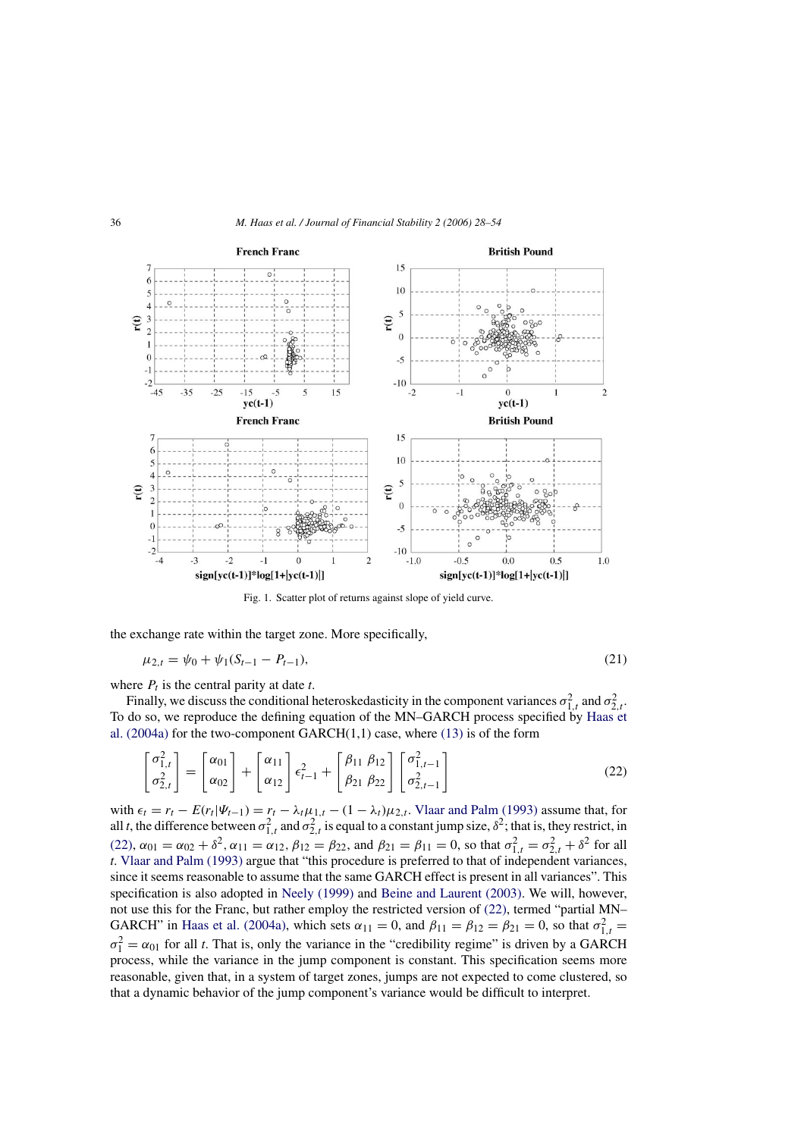<span id="page-8-0"></span>

Fig. 1. Scatter plot of returns against slope of yield curve.

the exchange rate within the target zone. More specifically,

$$
\mu_{2,t} = \psi_0 + \psi_1(S_{t-1} - P_{t-1}),\tag{21}
$$

where  $P_t$  is the central parity at date  $t$ .

Finally, we discuss the conditional heteroskedasticity in the component variances  $\sigma_{1,t}^2$  and  $\sigma_{2,t}^2$ . To do so, we reproduce the defining equation of the MN–GARCH process specified by [Haas et](#page-25-0) al.  $(2004a)$  for the two-component GARCH $(1,1)$  case, where  $(13)$  is of the form

$$
\begin{bmatrix} \sigma_{1,t}^2 \\ \sigma_{2,t}^2 \end{bmatrix} = \begin{bmatrix} \alpha_{01} \\ \alpha_{02} \end{bmatrix} + \begin{bmatrix} \alpha_{11} \\ \alpha_{12} \end{bmatrix} \epsilon_{t-1}^2 + \begin{bmatrix} \beta_{11} & \beta_{12} \\ \beta_{21} & \beta_{22} \end{bmatrix} \begin{bmatrix} \sigma_{1,t-1}^2 \\ \sigma_{2,t-1}^2 \end{bmatrix}
$$
(22)

with  $\epsilon_t = r_t - E(r_t|\Psi_{t-1}) = r_t - \lambda_t \mu_{1,t} - (1 - \lambda_t)\mu_{2,t}$ . [Vlaar and Palm \(1993\)](#page-26-0) assume that, for all *t*, the difference between  $\sigma_{1,t}^2$  and  $\sigma_{2,t}^2$  is equal to a constant jump size,  $\delta^2$ ; that is, they restrict, in (22),  $\alpha_{01} = \alpha_{02} + \delta^2$ ,  $\alpha_{11} = \alpha_{12}$ ,  $\beta_{12} = \beta_{22}$ , and  $\beta_{21} = \beta_{11} = 0$ , so that  $\sigma_{1,t}^2 = \sigma_{2,t}^2 + \delta^2$  for all *t*. [Vlaar and Palm \(1993\)](#page-26-0) argue that "this procedure is preferred to that of independent variances, since it seems reasonable to assume that the same GARCH effect is present in all variances". This specification is also adopted in [Neely \(1999\)](#page-26-0) and [Beine and Laurent \(2003\).](#page-25-0) We will, however, not use this for the Franc, but rather employ the restricted version of (22), termed "partial MN– GARCH" in [Haas et al. \(2004a\),](#page-25-0) which sets  $\alpha_{11} = 0$ , and  $\beta_{11} = \beta_{12} = \beta_{21} = 0$ , so that  $\sigma_{1,t}^2 =$  $\sigma_1^2 = \alpha_{01}$  for all *t*. That is, only the variance in the "credibility regime" is driven by a GARCH process, while the variance in the jump component is constant. This specification seems more reasonable, given that, in a system of target zones, jumps are not expected to come clustered, so that a dynamic behavior of the jump component's variance would be difficult to interpret.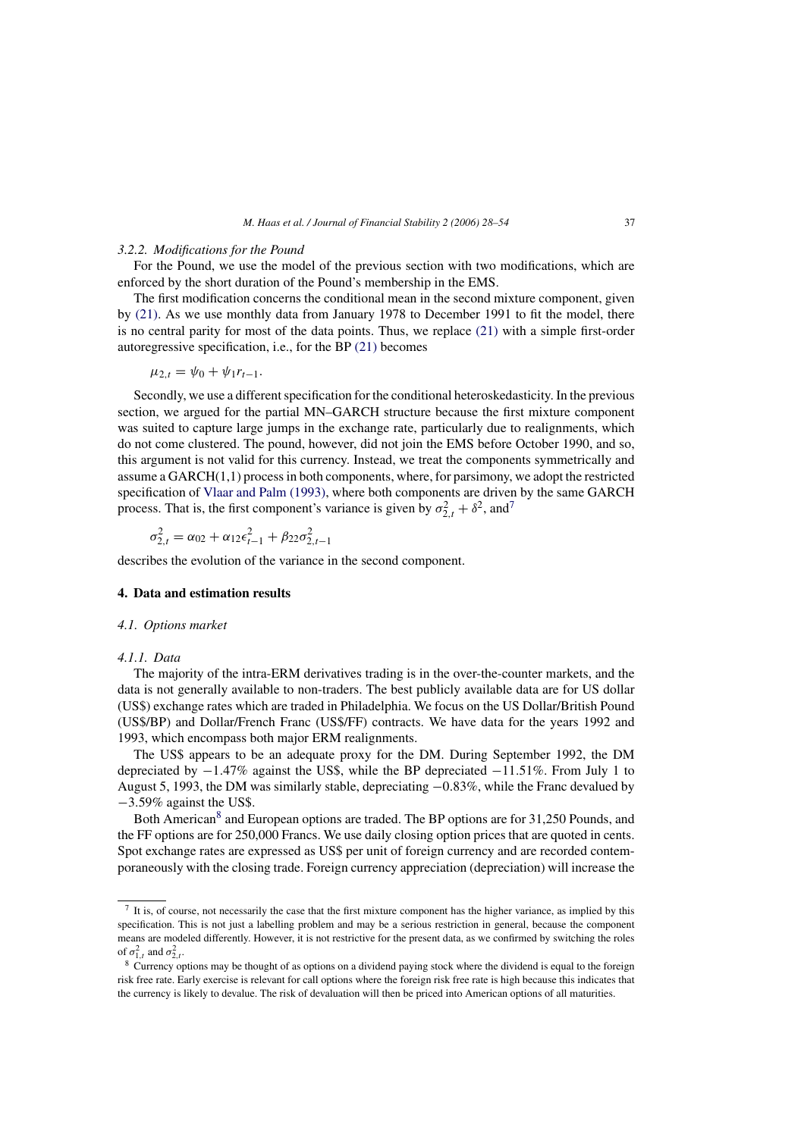#### <span id="page-9-0"></span>*3.2.2. Modifications for the Pound*

For the Pound, we use the model of the previous section with two modifications, which are enforced by the short duration of the Pound's membership in the EMS.

The first modification concerns the conditional mean in the second mixture component, given by [\(21\).](#page-8-0) As we use monthly data from January 1978 to December 1991 to fit the model, there is no central parity for most of the data points. Thus, we replace [\(21\)](#page-8-0) with a simple first-order autoregressive specification, i.e., for the BP [\(21\)](#page-8-0) becomes

$$
\mu_{2,t} = \psi_0 + \psi_1 r_{t-1}.
$$

Secondly, we use a different specification for the conditional heteroskedasticity. In the previous section, we argued for the partial MN–GARCH structure because the first mixture component was suited to capture large jumps in the exchange rate, particularly due to realignments, which do not come clustered. The pound, however, did not join the EMS before October 1990, and so, this argument is not valid for this currency. Instead, we treat the components symmetrically and assume a  $GARCH(1,1)$  process in both components, where, for parsimony, we adopt the restricted specification of [Vlaar and Palm \(1993\), w](#page-26-0)here both components are driven by the same GARCH process. That is, the first component's variance is given by  $\sigma_{2,t}^2 + \delta^2$ , and<sup>7</sup>

$$
\sigma_{2,t}^2 = \alpha_{02} + \alpha_{12}\epsilon_{t-1}^2 + \beta_{22}\sigma_{2,t-1}^2
$$

describes the evolution of the variance in the second component.

## **4. Data and estimation results**

#### *4.1. Options market*

## *4.1.1. Data*

The majority of the intra-ERM derivatives trading is in the over-the-counter markets, and the data is not generally available to non-traders. The best publicly available data are for US dollar (US\$) exchange rates which are traded in Philadelphia. We focus on the US Dollar/British Pound (US\$/BP) and Dollar/French Franc (US\$/FF) contracts. We have data for the years 1992 and 1993, which encompass both major ERM realignments.

The US\$ appears to be an adequate proxy for the DM. During September 1992, the DM depreciated by −1.47% against the US\$, while the BP depreciated −11.51%. From July 1 to August 5, 1993, the DM was similarly stable, depreciating −0.83%, while the Franc devalued by −3.59% against the US\$.

Both American<sup>8</sup> and European options are traded. The BP options are for 31,250 Pounds, and the FF options are for 250,000 Francs. We use daily closing option prices that are quoted in cents. Spot exchange rates are expressed as US\$ per unit of foreign currency and are recorded contemporaneously with the closing trade. Foreign currency appreciation (depreciation) will increase the

 $7$  It is, of course, not necessarily the case that the first mixture component has the higher variance, as implied by this specification. This is not just a labelling problem and may be a serious restriction in general, because the component means are modeled differently. However, it is not restrictive for the present data, as we confirmed by switching the roles of  $\sigma_{1,t}^2$  and  $\sigma_{2,t}^2$ .

<sup>8</sup> Currency options may be thought of as options on a dividend paying stock where the dividend is equal to the foreign risk free rate. Early exercise is relevant for call options where the foreign risk free rate is high because this indicates that the currency is likely to devalue. The risk of devaluation will then be priced into American options of all maturities.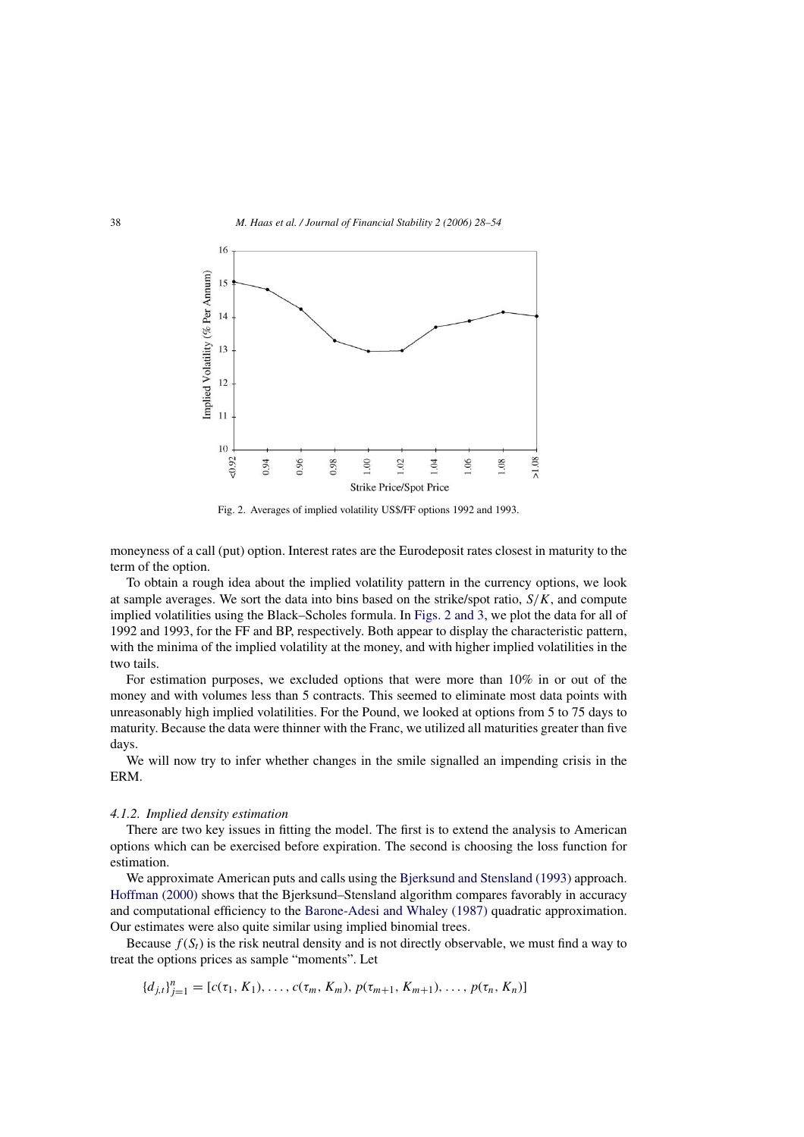

Fig. 2. Averages of implied volatility US\$/FF options 1992 and 1993.

moneyness of a call (put) option. Interest rates are the Eurodeposit rates closest in maturity to the term of the option.

To obtain a rough idea about the implied volatility pattern in the currency options, we look at sample averages. We sort the data into bins based on the strike/spot ratio,  $S/K$ , and compute implied volatilities using the Black–Scholes formula. In Figs. 2 and 3, we plot the data for all of 1992 and 1993, for the FF and BP, respectively. Both appear to display the characteristic pattern, with the minima of the implied volatility at the money, and with higher implied volatilities in the two tails.

For estimation purposes, we excluded options that were more than 10% in or out of the money and with volumes less than 5 contracts. This seemed to eliminate most data points with unreasonably high implied volatilities. For the Pound, we looked at options from 5 to 75 days to maturity. Because the data were thinner with the Franc, we utilized all maturities greater than five days.

We will now try to infer whether changes in the smile signalled an impending crisis in the ERM.

#### *4.1.2. Implied density estimation*

There are two key issues in fitting the model. The first is to extend the analysis to American options which can be exercised before expiration. The second is choosing the loss function for estimation.

We approximate American puts and calls using the [Bjerksund and Stensland \(1993\)](#page-25-0) approach. [Hoffman \(2000\)](#page-25-0) shows that the Bjerksund–Stensland algorithm compares favorably in accuracy and computational efficiency to the [Barone-Adesi and Whaley \(1987\)](#page-25-0) quadratic approximation. Our estimates were also quite similar using implied binomial trees.

Because  $f(S_t)$  is the risk neutral density and is not directly observable, we must find a way to treat the options prices as sample "moments". Let

$$
\{d_{j,t}\}_{j=1}^n = [c(\tau_1, K_1), \ldots, c(\tau_m, K_m), p(\tau_{m+1}, K_{m+1}), \ldots, p(\tau_n, K_n)]
$$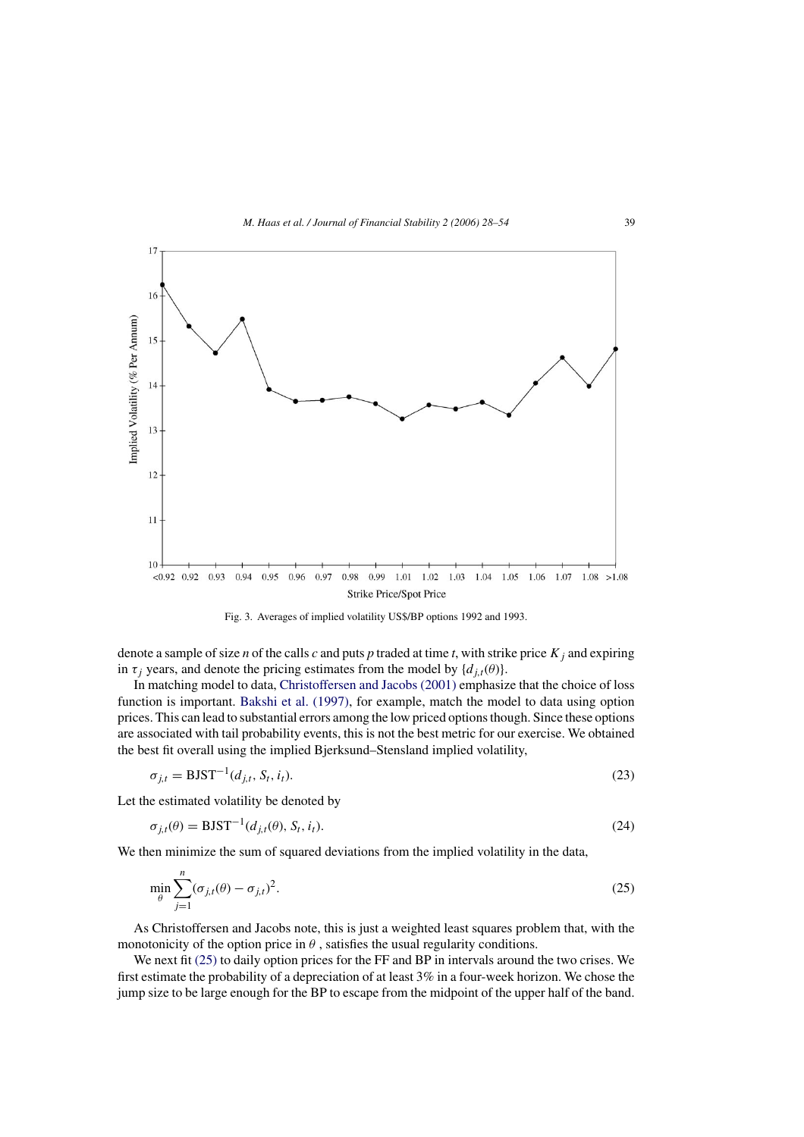<span id="page-11-0"></span>

Fig. 3. Averages of implied volatility US\$/BP options 1992 and 1993.

denote a sample of size *n* of the calls *c* and puts *p* traded at time *t*, with strike price  $K_i$  and expiring in  $\tau_i$  years, and denote the pricing estimates from the model by  $\{d_{i,t}(\theta)\}.$ 

In matching model to data, [Christoffersen and Jacobs \(2001\)](#page-25-0) emphasize that the choice of loss function is important. [Bakshi et al. \(1997\),](#page-25-0) for example, match the model to data using option prices. This can lead to substantial errors among the low priced options though. Since these options are associated with tail probability events, this is not the best metric for our exercise. We obtained the best fit overall using the implied Bjerksund–Stensland implied volatility,

$$
\sigma_{j,t} = \text{BJST}^{-1}(d_{j,t}, S_t, i_t). \tag{23}
$$

Let the estimated volatility be denoted by

$$
\sigma_{j,t}(\theta) = \text{BJST}^{-1}(d_{j,t}(\theta), S_t, i_t). \tag{24}
$$

We then minimize the sum of squared deviations from the implied volatility in the data,

$$
\min_{\theta} \sum_{j=1}^{n} (\sigma_{j,t}(\theta) - \sigma_{j,t})^2.
$$
\n(25)

As Christoffersen and Jacobs note, this is just a weighted least squares problem that, with the monotonicity of the option price in  $\theta$ , satisfies the usual regularity conditions.

We next fit (25) to daily option prices for the FF and BP in intervals around the two crises. We first estimate the probability of a depreciation of at least 3% in a four-week horizon. We chose the jump size to be large enough for the BP to escape from the midpoint of the upper half of the band.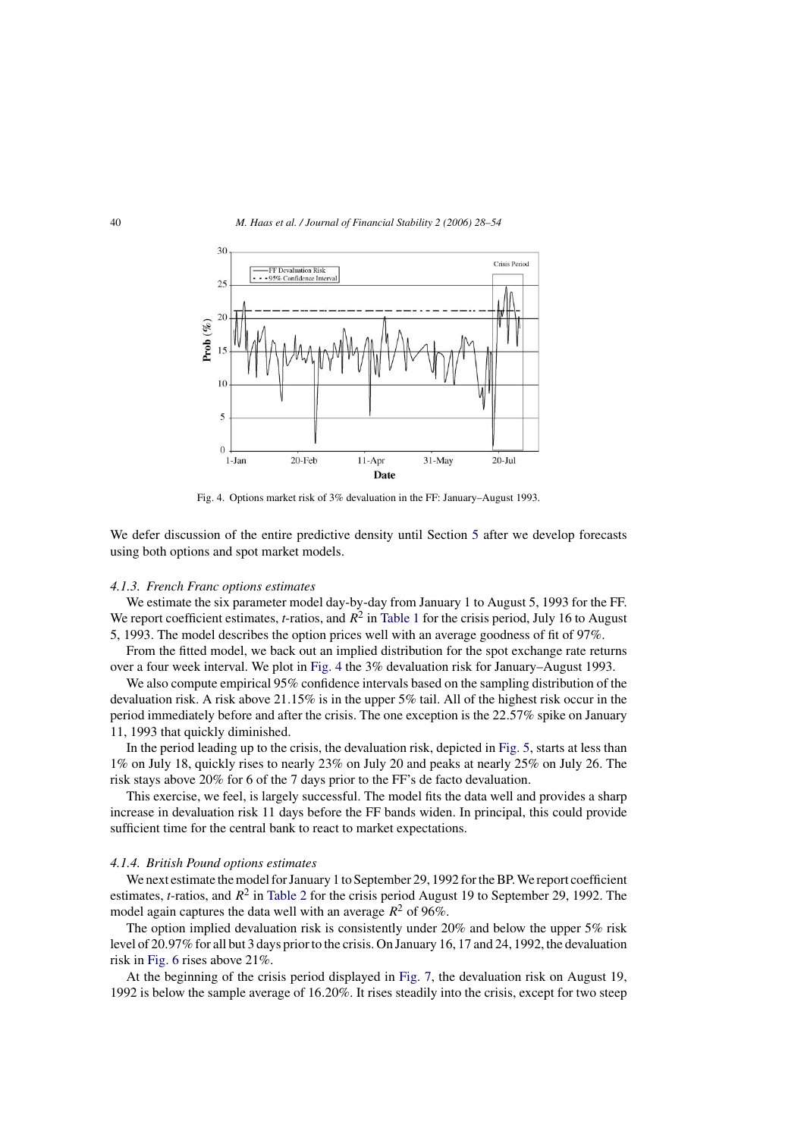

Fig. 4. Options market risk of 3% devaluation in the FF: January–August 1993.

We defer discussion of the entire predictive density until Section [5](#page-20-0) after we develop forecasts using both options and spot market models.

# *4.1.3. French Franc options estimates*

We estimate the six parameter model day-by-day from January 1 to August 5, 1993 for the FF. We report coefficient estimates, *t*-ratios, and  $R^2$  in [Table 1](#page-13-0) for the crisis period, July 16 to August 5, 1993. The model describes the option prices well with an average goodness of fit of 97%.

From the fitted model, we back out an implied distribution for the spot exchange rate returns over a four week interval. We plot in Fig. 4 the 3% devaluation risk for January–August 1993.

We also compute empirical 95% confidence intervals based on the sampling distribution of the devaluation risk. A risk above 21.15% is in the upper 5% tail. All of the highest risk occur in the period immediately before and after the crisis. The one exception is the 22.57% spike on January 11, 1993 that quickly diminished.

In the period leading up to the crisis, the devaluation risk, depicted in [Fig. 5, s](#page-14-0)tarts at less than 1% on July 18, quickly rises to nearly 23% on July 20 and peaks at nearly 25% on July 26. The risk stays above 20% for 6 of the 7 days prior to the FF's de facto devaluation.

This exercise, we feel, is largely successful. The model fits the data well and provides a sharp increase in devaluation risk 11 days before the FF bands widen. In principal, this could provide sufficient time for the central bank to react to market expectations.

# *4.1.4. British Pound options estimates*

We next estimate the model for January 1 to September 29, 1992 for the BP. We report coefficient estimates, *t*-ratios, and  $R^2$  in [Table 2](#page-15-0) for the crisis period August 19 to September 29, 1992. The model again captures the data well with an average  $R^2$  of 96%.

The option implied devaluation risk is consistently under 20% and below the upper 5% risk level of 20.97% for all but 3 days prior to the crisis. On January 16, 17 and 24, 1992, the devaluation risk in [Fig. 6](#page-14-0) rises above 21%.

At the beginning of the crisis period displayed in [Fig. 7,](#page-16-0) the devaluation risk on August 19, 1992 is below the sample average of 16.20%. It rises steadily into the crisis, except for two steep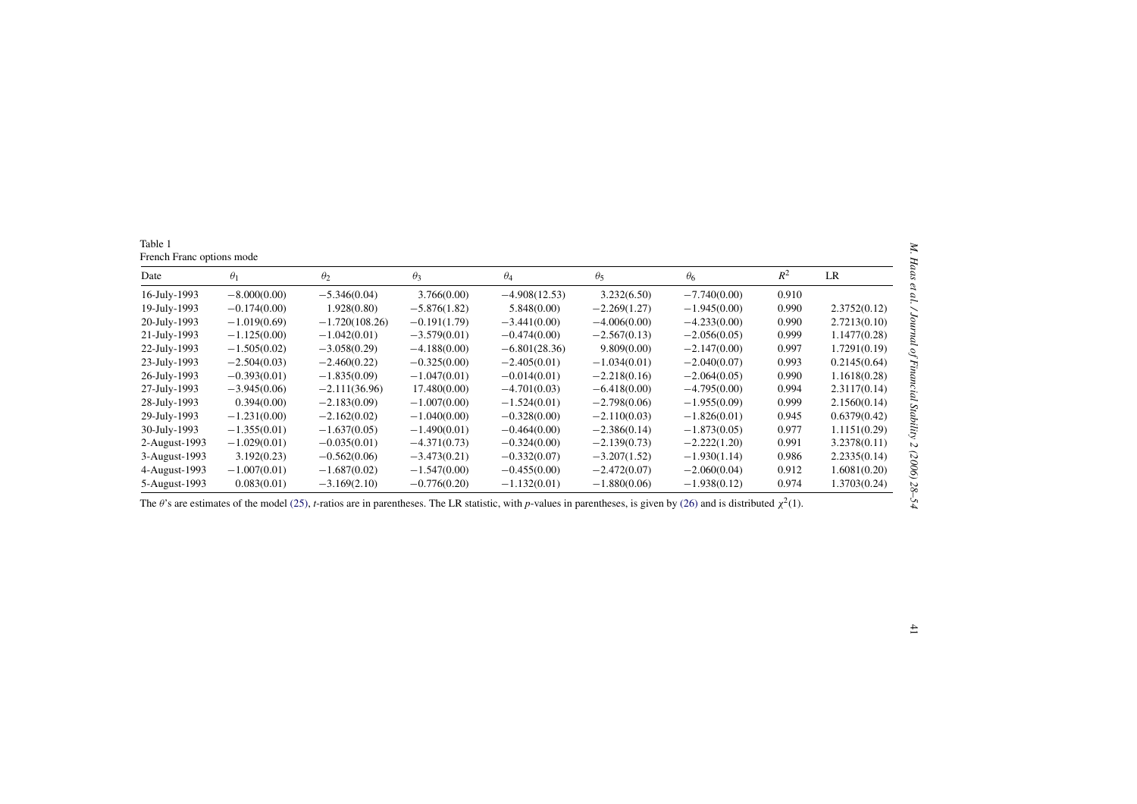<span id="page-13-0"></span>

| Date          | $\theta_1$     | $\theta_2$                                                                                                                                                                              | $\theta_3$     | $\theta_4$      | $\theta_5$     | $\theta_6$     | $R^2$ | LR           |
|---------------|----------------|-----------------------------------------------------------------------------------------------------------------------------------------------------------------------------------------|----------------|-----------------|----------------|----------------|-------|--------------|
| 16-July-1993  | $-8.000(0.00)$ | $-5.346(0.04)$                                                                                                                                                                          | 3.766(0.00)    | $-4.908(12.53)$ | 3.232(6.50)    | $-7.740(0.00)$ | 0.910 |              |
| 19-July-1993  | $-0.174(0.00)$ | 1.928(0.80)                                                                                                                                                                             | $-5.876(1.82)$ | 5.848(0.00)     | $-2.269(1.27)$ | $-1.945(0.00)$ | 0.990 | 2.3752(0.12) |
| 20-July-1993  | $-1.019(0.69)$ | $-1.720(108.26)$                                                                                                                                                                        | $-0.191(1.79)$ | $-3.441(0.00)$  | $-4.006(0.00)$ | $-4.233(0.00)$ | 0.990 | 2.7213(0.10) |
| 21-July-1993  | $-1.125(0.00)$ | $-1.042(0.01)$                                                                                                                                                                          | $-3.579(0.01)$ | $-0.474(0.00)$  | $-2.567(0.13)$ | $-2.056(0.05)$ | 0.999 | 1.1477(0.28) |
| 22-July-1993  | $-1.505(0.02)$ | $-3.058(0.29)$                                                                                                                                                                          | $-4.188(0.00)$ | $-6.801(28.36)$ | 9.809(0.00)    | $-2.147(0.00)$ | 0.997 | 1.7291(0.19) |
| 23-July-1993  | $-2.504(0.03)$ | $-2.460(0.22)$                                                                                                                                                                          | $-0.325(0.00)$ | $-2.405(0.01)$  | $-1.034(0.01)$ | $-2.040(0.07)$ | 0.993 | 0.2145(0.64) |
| 26-July-1993  | $-0.393(0.01)$ | $-1.835(0.09)$                                                                                                                                                                          | $-1.047(0.01)$ | $-0.014(0.01)$  | $-2.218(0.16)$ | $-2.064(0.05)$ | 0.990 | 1.1618(0.28) |
| 27-July-1993  | $-3.945(0.06)$ | $-2.111(36.96)$                                                                                                                                                                         | 17.480(0.00)   | $-4.701(0.03)$  | $-6.418(0.00)$ | $-4.795(0.00)$ | 0.994 | 2.3117(0.14) |
| 28-July-1993  | 0.394(0.00)    | $-2.183(0.09)$                                                                                                                                                                          | $-1.007(0.00)$ | $-1.524(0.01)$  | $-2.798(0.06)$ | $-1.955(0.09)$ | 0.999 | 2.1560(0.14) |
| 29-July-1993  | $-1.231(0.00)$ | $-2.162(0.02)$                                                                                                                                                                          | $-1.040(0.00)$ | $-0.328(0.00)$  | $-2.110(0.03)$ | $-1.826(0.01)$ | 0.945 | 0.6379(0.42) |
| 30-July-1993  | $-1.355(0.01)$ | $-1.637(0.05)$                                                                                                                                                                          | $-1.490(0.01)$ | $-0.464(0.00)$  | $-2.386(0.14)$ | $-1.873(0.05)$ | 0.977 | 1.1151(0.29) |
| 2-August-1993 | $-1.029(0.01)$ | $-0.035(0.01)$                                                                                                                                                                          | $-4.371(0.73)$ | $-0.324(0.00)$  | $-2.139(0.73)$ | $-2.222(1.20)$ | 0.991 | 3.2378(0.11) |
| 3-August-1993 | 3.192(0.23)    | $-0.562(0.06)$                                                                                                                                                                          | $-3.473(0.21)$ | $-0.332(0.07)$  | $-3.207(1.52)$ | $-1.930(1.14)$ | 0.986 | 2.2335(0.14) |
| 4-August-1993 | $-1.007(0.01)$ | $-1.687(0.02)$                                                                                                                                                                          | $-1.547(0.00)$ | $-0.455(0.00)$  | $-2.472(0.07)$ | $-2.060(0.04)$ | 0.912 | 1.6081(0.20) |
| 5-August-1993 | 0.083(0.01)    | $-3.169(2.10)$                                                                                                                                                                          | $-0.776(0.20)$ | $-1.132(0.01)$  | $-1.880(0.06)$ | $-1.938(0.12)$ | 0.974 | 1.3703(0.24) |
|               |                | The $\theta$ 's are estimates of the model (25), <i>t</i> -ratios are in parentheses. The LR statistic, with p-values in parentheses, is given by (26) and is distributed $\chi^2(1)$ . |                |                 |                |                |       |              |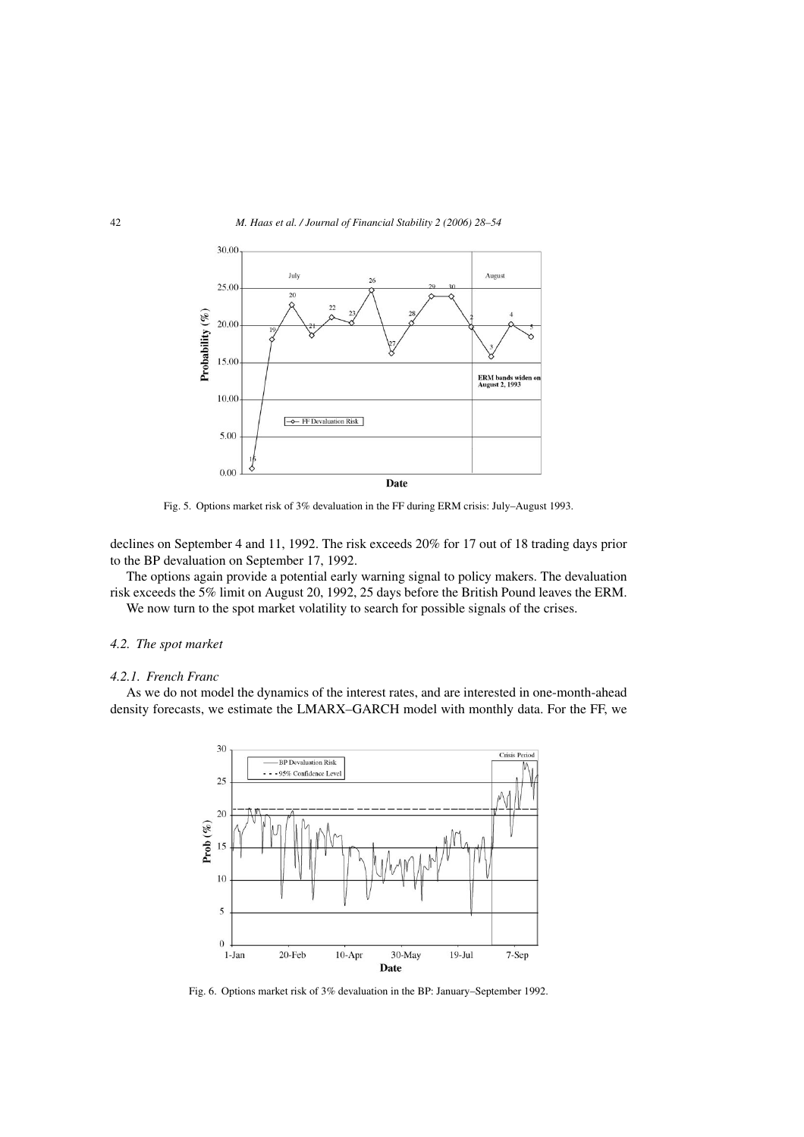<span id="page-14-0"></span>

Fig. 5. Options market risk of 3% devaluation in the FF during ERM crisis: July–August 1993.

declines on September 4 and 11, 1992. The risk exceeds 20% for 17 out of 18 trading days prior to the BP devaluation on September 17, 1992.

The options again provide a potential early warning signal to policy makers. The devaluation risk exceeds the 5% limit on August 20, 1992, 25 days before the British Pound leaves the ERM.

We now turn to the spot market volatility to search for possible signals of the crises.

# *4.2. The spot market*

#### *4.2.1. French Franc*

As we do not model the dynamics of the interest rates, and are interested in one-month-ahead density forecasts, we estimate the LMARX–GARCH model with monthly data. For the FF, we



Fig. 6. Options market risk of 3% devaluation in the BP: January–September 1992.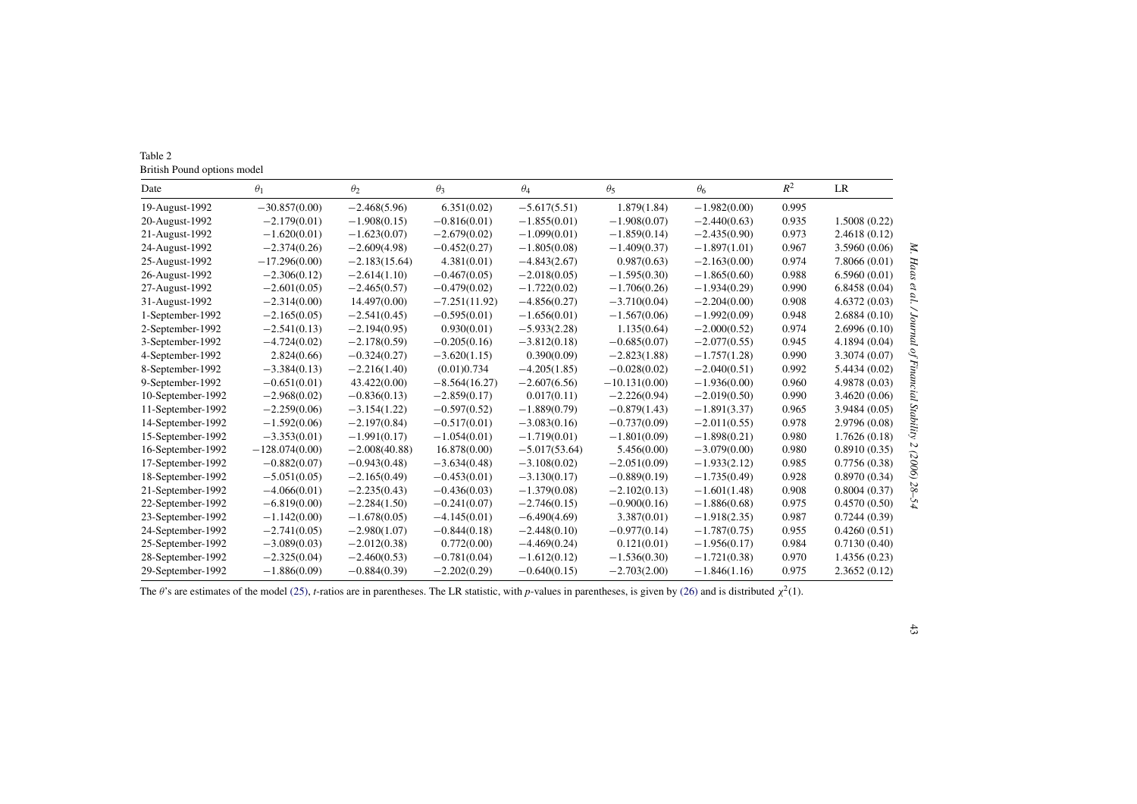<span id="page-15-0"></span>

| Table 2                     |
|-----------------------------|
| British Pound options model |

| Date              | $\theta_1$       | $\theta_2$      | $\theta_3$      | $\theta_4$      | $\theta_5$      | $\theta_6$     | $R^2$ | LR            |
|-------------------|------------------|-----------------|-----------------|-----------------|-----------------|----------------|-------|---------------|
| 19-August-1992    | $-30.857(0.00)$  | $-2.468(5.96)$  | 6.351(0.02)     | $-5.617(5.51)$  | 1.879(1.84)     | $-1.982(0.00)$ | 0.995 |               |
| 20-August-1992    | $-2.179(0.01)$   | $-1.908(0.15)$  | $-0.816(0.01)$  | $-1.855(0.01)$  | $-1.908(0.07)$  | $-2.440(0.63)$ | 0.935 | 1.5008(0.22)  |
| 21-August-1992    | $-1.620(0.01)$   | $-1.623(0.07)$  | $-2.679(0.02)$  | $-1.099(0.01)$  | $-1.859(0.14)$  | $-2.435(0.90)$ | 0.973 | 2.4618 (0.12) |
| 24-August-1992    | $-2.374(0.26)$   | $-2.609(4.98)$  | $-0.452(0.27)$  | $-1.805(0.08)$  | $-1.409(0.37)$  | $-1.897(1.01)$ | 0.967 | 3.5960(0.06)  |
| 25-August-1992    | $-17.296(0.00)$  | $-2.183(15.64)$ | 4.381(0.01)     | $-4.843(2.67)$  | 0.987(0.63)     | $-2.163(0.00)$ | 0.974 | 7.8066 (0.01) |
| 26-August-1992    | $-2.306(0.12)$   | $-2.614(1.10)$  | $-0.467(0.05)$  | $-2.018(0.05)$  | $-1.595(0.30)$  | $-1.865(0.60)$ | 0.988 | 6.5960(0.01)  |
| 27-August-1992    | $-2.601(0.05)$   | $-2.465(0.57)$  | $-0.479(0.02)$  | $-1.722(0.02)$  | $-1.706(0.26)$  | $-1.934(0.29)$ | 0.990 | 6.8458(0.04)  |
| 31-August-1992    | $-2.314(0.00)$   | 14.497(0.00)    | $-7.251(11.92)$ | $-4.856(0.27)$  | $-3.710(0.04)$  | $-2.204(0.00)$ | 0.908 | 4.6372(0.03)  |
| 1-September-1992  | $-2.165(0.05)$   | $-2.541(0.45)$  | $-0.595(0.01)$  | $-1.656(0.01)$  | $-1.567(0.06)$  | $-1.992(0.09)$ | 0.948 | 2.6884(0.10)  |
| 2-September-1992  | $-2.541(0.13)$   | $-2.194(0.95)$  | 0.930(0.01)     | $-5.933(2.28)$  | 1.135(0.64)     | $-2.000(0.52)$ | 0.974 | 2.6996(0.10)  |
| 3-September-1992  | $-4.724(0.02)$   | $-2.178(0.59)$  | $-0.205(0.16)$  | $-3.812(0.18)$  | $-0.685(0.07)$  | $-2.077(0.55)$ | 0.945 | 4.1894 (0.04) |
| 4-September-1992  | 2.824(0.66)      | $-0.324(0.27)$  | $-3.620(1.15)$  | 0.390(0.09)     | $-2.823(1.88)$  | $-1.757(1.28)$ | 0.990 | 3.3074 (0.07) |
| 8-September-1992  | $-3.384(0.13)$   | $-2.216(1.40)$  | (0.01)0.734     | $-4.205(1.85)$  | $-0.028(0.02)$  | $-2.040(0.51)$ | 0.992 | 5.4434 (0.02) |
| 9-September-1992  | $-0.651(0.01)$   | 43.422(0.00)    | $-8.564(16.27)$ | $-2.607(6.56)$  | $-10.131(0.00)$ | $-1.936(0.00)$ | 0.960 | 4.9878 (0.03) |
| 10-September-1992 | $-2.968(0.02)$   | $-0.836(0.13)$  | $-2.859(0.17)$  | 0.017(0.11)     | $-2.226(0.94)$  | $-2.019(0.50)$ | 0.990 | 3.4620(0.06)  |
| 11-September-1992 | $-2.259(0.06)$   | $-3.154(1.22)$  | $-0.597(0.52)$  | $-1.889(0.79)$  | $-0.879(1.43)$  | $-1.891(3.37)$ | 0.965 | 3.9484(0.05)  |
| 14-September-1992 | $-1.592(0.06)$   | $-2.197(0.84)$  | $-0.517(0.01)$  | $-3.083(0.16)$  | $-0.737(0.09)$  | $-2.011(0.55)$ | 0.978 | 2.9796 (0.08) |
| 15-September-1992 | $-3.353(0.01)$   | $-1.991(0.17)$  | $-1.054(0.01)$  | $-1.719(0.01)$  | $-1.801(0.09)$  | $-1.898(0.21)$ | 0.980 | 1.7626(0.18)  |
| 16-September-1992 | $-128.074(0.00)$ | $-2.008(40.88)$ | 16.878(0.00)    | $-5.017(53.64)$ | 5.456(0.00)     | $-3.079(0.00)$ | 0.980 | 0.8910(0.35)  |
| 17-September-1992 | $-0.882(0.07)$   | $-0.943(0.48)$  | $-3.634(0.48)$  | $-3.108(0.02)$  | $-2.051(0.09)$  | $-1.933(2.12)$ | 0.985 | 0.7756(0.38)  |
| 18-September-1992 | $-5.051(0.05)$   | $-2.165(0.49)$  | $-0.453(0.01)$  | $-3.130(0.17)$  | $-0.889(0.19)$  | $-1.735(0.49)$ | 0.928 | 0.8970(0.34)  |
| 21-September-1992 | $-4.066(0.01)$   | $-2.235(0.43)$  | $-0.436(0.03)$  | $-1.379(0.08)$  | $-2.102(0.13)$  | $-1.601(1.48)$ | 0.908 | 0.8004(0.37)  |
| 22-September-1992 | $-6.819(0.00)$   | $-2.284(1.50)$  | $-0.241(0.07)$  | $-2.746(0.15)$  | $-0.900(0.16)$  | $-1.886(0.68)$ | 0.975 | 0.4570(0.50)  |
| 23-September-1992 | $-1.142(0.00)$   | $-1.678(0.05)$  | $-4.145(0.01)$  | $-6.490(4.69)$  | 3.387(0.01)     | $-1.918(2.35)$ | 0.987 | 0.7244(0.39)  |
| 24-September-1992 | $-2.741(0.05)$   | $-2.980(1.07)$  | $-0.844(0.18)$  | $-2.448(0.10)$  | $-0.977(0.14)$  | $-1.787(0.75)$ | 0.955 | 0.4260(0.51)  |
| 25-September-1992 | $-3.089(0.03)$   | $-2.012(0.38)$  | 0.772(0.00)     | $-4.469(0.24)$  | 0.121(0.01)     | $-1.956(0.17)$ | 0.984 | 0.7130(0.40)  |
| 28-September-1992 | $-2.325(0.04)$   | $-2.460(0.53)$  | $-0.781(0.04)$  | $-1.612(0.12)$  | $-1.536(0.30)$  | $-1.721(0.38)$ | 0.970 | 1.4356(0.23)  |
| 29-September-1992 | $-1.886(0.09)$   | $-0.884(0.39)$  | $-2.202(0.29)$  | $-0.640(0.15)$  | $-2.703(2.00)$  | $-1.846(1.16)$ | 0.975 | 2.3652(0.12)  |

The  $\theta$ 's are estimates of the model [\(25\),](#page-11-0) *t*-ratios are in parentheses. The LR statistic, with *p*-values in parentheses, is given by [\(26\)](#page-22-0) and is distributed  $\chi^2(1)$ .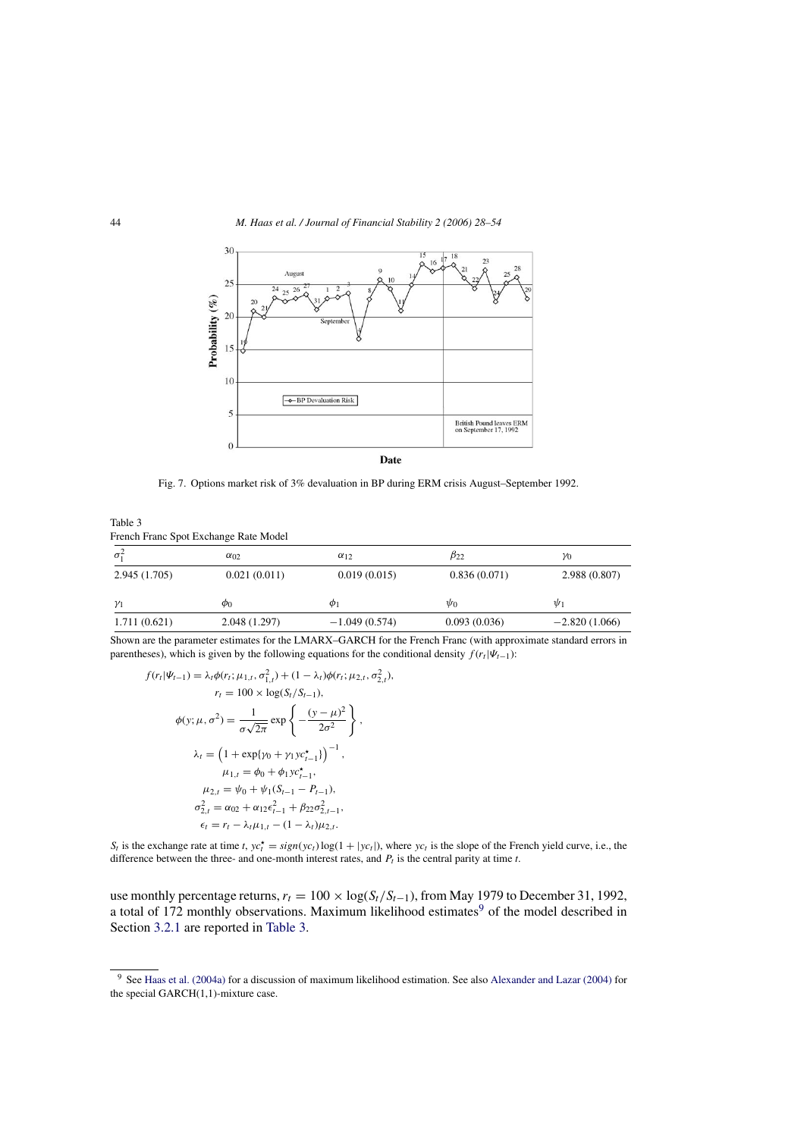<span id="page-16-0"></span>

Fig. 7. Options market risk of 3% devaluation in BP during ERM crisis August–September 1992.

Table 3 French Franc Spot Exchange Rate Model

| $\sigma_1^2$ | $\alpha_{02}$ | $\alpha_{12}$   | $\beta_{22}$ | YO              |
|--------------|---------------|-----------------|--------------|-----------------|
| 2.945(1.705) | 0.021(0.011)  | 0.019(0.015)    | 0.836(0.071) | 2.988 (0.807)   |
| $\gamma_1$   | $\phi_0$      | $\varphi_1$     | $\psi_0$     | $\Psi_1$        |
| 1.711(0.621) | 2.048 (1.297) | $-1.049(0.574)$ | 0.093(0.036) | $-2.820(1.066)$ |

Shown are the parameter estimates for the LMARX–GARCH for the French Franc (with approximate standard errors in parentheses), which is given by the following equations for the conditional density  $f(r_t|\Psi_{t-1})$ :

$$
f(r_t|\Psi_{t-1}) = \lambda_t \phi(r_t; \mu_{1,t}, \sigma_{1,t}^2) + (1 - \lambda_t) \phi(r_t; \mu_{2,t}, \sigma_{2,t}^2),
$$
  
\n
$$
r_t = 100 \times \log(S_t/S_{t-1}),
$$
  
\n
$$
\phi(y; \mu, \sigma^2) = \frac{1}{\sigma \sqrt{2\pi}} \exp\left\{-\frac{(y - \mu)^2}{2\sigma^2}\right\},
$$
  
\n
$$
\lambda_t = \left(1 + \exp\{\gamma_0 + \gamma_1 y c_{t-1}^*\}\right)^{-1},
$$
  
\n
$$
\mu_{1,t} = \phi_0 + \phi_1 y c_{t-1}^*,
$$
  
\n
$$
\mu_{2,t} = \psi_0 + \psi_1(S_{t-1} - P_{t-1}),
$$
  
\n
$$
\sigma_{2,t}^2 = \alpha_{02} + \alpha_{12} \epsilon_{t-1}^2 + \beta_{22} \sigma_{2,t-1}^2,
$$
  
\n
$$
\epsilon_t = r_t - \lambda_t \mu_{1,t} - (1 - \lambda_t) \mu_{2,t}.
$$

 $S_t$  is the exchange rate at time *t*,  $yc_t^* = sign(yc_t) \log(1 + |yc_t|)$ , where  $yc_t$  is the slope of the French yield curve, i.e., the difference between the three- and one-month interest rates, and  $P_t$  is the central parity at time  $t$ .

use monthly percentage returns,  $r_t = 100 \times \log(S_t/S_{t-1})$ , from May 1979 to December 31, 1992, a total of 172 monthly observations. Maximum likelihood estimates<sup>9</sup> of the model described in Section [3.2.1](#page-7-0) are reported in Table 3.

<sup>9</sup> See [Haas et al. \(2004a\)](#page-25-0) [fo](#page-25-0)r a discussion of maximum likelihood estimation. See also [Alexander and Lazar \(2004\)](#page-25-0) [fo](#page-25-0)r the special GARCH(1,1)-mixture case.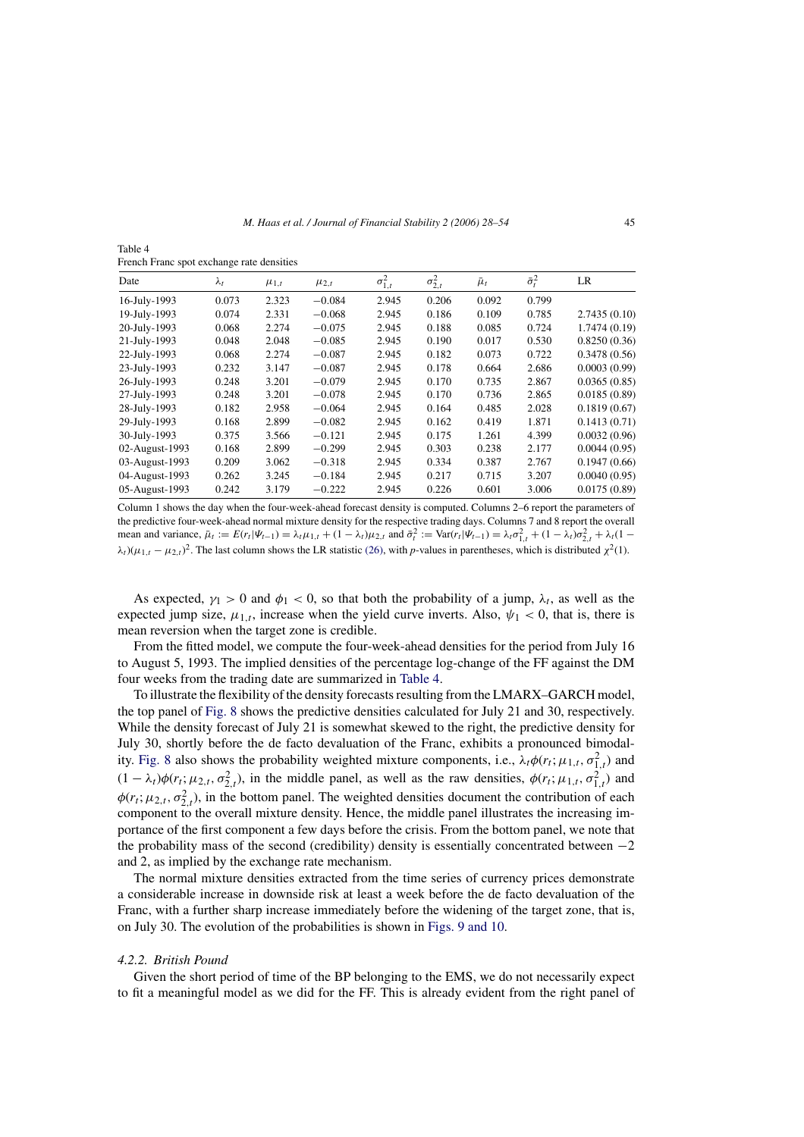<span id="page-17-0"></span>Table 4 French Franc spot exchange rate densities

| Date           | $\lambda_t$ | $\mu_{1,t}$ | $\mu_{2,t}$ | $\sigma_{1,t}^2$ | $\sigma_{2,t}^2$ | $\bar{\mu}_t$ | $\bar{\sigma}_t^2$ | LR           |
|----------------|-------------|-------------|-------------|------------------|------------------|---------------|--------------------|--------------|
| 16-July-1993   | 0.073       | 2.323       | $-0.084$    | 2.945            | 0.206            | 0.092         | 0.799              |              |
| 19-July-1993   | 0.074       | 2.331       | $-0.068$    | 2.945            | 0.186            | 0.109         | 0.785              | 2.7435(0.10) |
| 20-July-1993   | 0.068       | 2.274       | $-0.075$    | 2.945            | 0.188            | 0.085         | 0.724              | 1.7474(0.19) |
| 21-July-1993   | 0.048       | 2.048       | $-0.085$    | 2.945            | 0.190            | 0.017         | 0.530              | 0.8250(0.36) |
| 22-July-1993   | 0.068       | 2.274       | $-0.087$    | 2.945            | 0.182            | 0.073         | 0.722              | 0.3478(0.56) |
| 23-July-1993   | 0.232       | 3.147       | $-0.087$    | 2.945            | 0.178            | 0.664         | 2.686              | 0.0003(0.99) |
| 26-July-1993   | 0.248       | 3.201       | $-0.079$    | 2.945            | 0.170            | 0.735         | 2.867              | 0.0365(0.85) |
| 27-July-1993   | 0.248       | 3.201       | $-0.078$    | 2.945            | 0.170            | 0.736         | 2.865              | 0.0185(0.89) |
| 28-July-1993   | 0.182       | 2.958       | $-0.064$    | 2.945            | 0.164            | 0.485         | 2.028              | 0.1819(0.67) |
| 29-July-1993   | 0.168       | 2.899       | $-0.082$    | 2.945            | 0.162            | 0.419         | 1.871              | 0.1413(0.71) |
| 30-July-1993   | 0.375       | 3.566       | $-0.121$    | 2.945            | 0.175            | 1.261         | 4.399              | 0.0032(0.96) |
| 02-August-1993 | 0.168       | 2.899       | $-0.299$    | 2.945            | 0.303            | 0.238         | 2.177              | 0.0044(0.95) |
| 03-August-1993 | 0.209       | 3.062       | $-0.318$    | 2.945            | 0.334            | 0.387         | 2.767              | 0.1947(0.66) |
| 04-August-1993 | 0.262       | 3.245       | $-0.184$    | 2.945            | 0.217            | 0.715         | 3.207              | 0.0040(0.95) |
| 05-August-1993 | 0.242       | 3.179       | $-0.222$    | 2.945            | 0.226            | 0.601         | 3.006              | 0.0175(0.89) |
|                |             |             |             |                  |                  |               |                    |              |

Column 1 shows the day when the four-week-ahead forecast density is computed. Columns 2–6 report the parameters of the predictive four-week-ahead normal mixture density for the respective trading days. Columns 7 and 8 report the overall mean and variance,  $\bar{\mu}_t := E(r_t|\Psi_{t-1}) = \lambda_t \mu_{1,t} + (1 - \lambda_t)\mu_{2,t}$  and  $\bar{\sigma}_t^2 := \text{Var}(r_t|\Psi_{t-1}) = \lambda_t \sigma_{1,t}^2 + (1 - \lambda_t)\sigma_{2,t}^2 + \lambda_t (1 - \lambda_t)\sigma_{2,t}^2$  $\lambda_t$ )( $\mu_{1,t} - \mu_{2,t}$ )<sup>2</sup>. The last column shows the LR statistic [\(26\), w](#page-22-0)ith *p*-values in parentheses, which is distributed  $\chi^2(1)$ .

As expected,  $\gamma_1 > 0$  and  $\phi_1 < 0$ , so that both the probability of a jump,  $\lambda_t$ , as well as the expected jump size,  $\mu_{1,t}$ , increase when the yield curve inverts. Also,  $\psi_1 < 0$ , that is, there is mean reversion when the target zone is credible.

From the fitted model, we compute the four-week-ahead densities for the period from July 16 to August 5, 1993. The implied densities of the percentage log-change of the FF against the DM four weeks from the trading date are summarized in Table 4.

To illustrate the flexibility of the density forecasts resulting from the LMARX–GARCH model, the top panel of [Fig. 8](#page-18-0) shows the predictive densities calculated for July 21 and 30, respectively. While the density forecast of July 21 is somewhat skewed to the right, the predictive density for July 30, shortly before the de facto devaluation of the Franc, exhibits a pronounced bimodal-ity. [Fig. 8](#page-18-0) also shows the probability weighted mixture components, i.e.,  $\lambda_t \phi(r_t; \mu_{1,t}, \sigma_{1,t}^2)$  and  $(1 - \lambda_t)\phi(r_t; \mu_{2,t}, \sigma_{2,t}^2)$ , in the middle panel, as well as the raw densities,  $\phi(r_t; \mu_{1,t}, \sigma_{1,t}^2)$  and  $\phi(r_t; \mu_{2,t}, \sigma_{2,t}^2)$ , in the bottom panel. The weighted densities document the contribution of each component to the overall mixture density. Hence, the middle panel illustrates the increasing importance of the first component a few days before the crisis. From the bottom panel, we note that the probability mass of the second (credibility) density is essentially concentrated between −2 and 2, as implied by the exchange rate mechanism.

The normal mixture densities extracted from the time series of currency prices demonstrate a considerable increase in downside risk at least a week before the de facto devaluation of the Franc, with a further sharp increase immediately before the widening of the target zone, that is, on July 30. The evolution of the probabilities is shown in [Figs. 9 and 10.](#page-19-0)

#### *4.2.2. British Pound*

Given the short period of time of the BP belonging to the EMS, we do not necessarily expect to fit a meaningful model as we did for the FF. This is already evident from the right panel of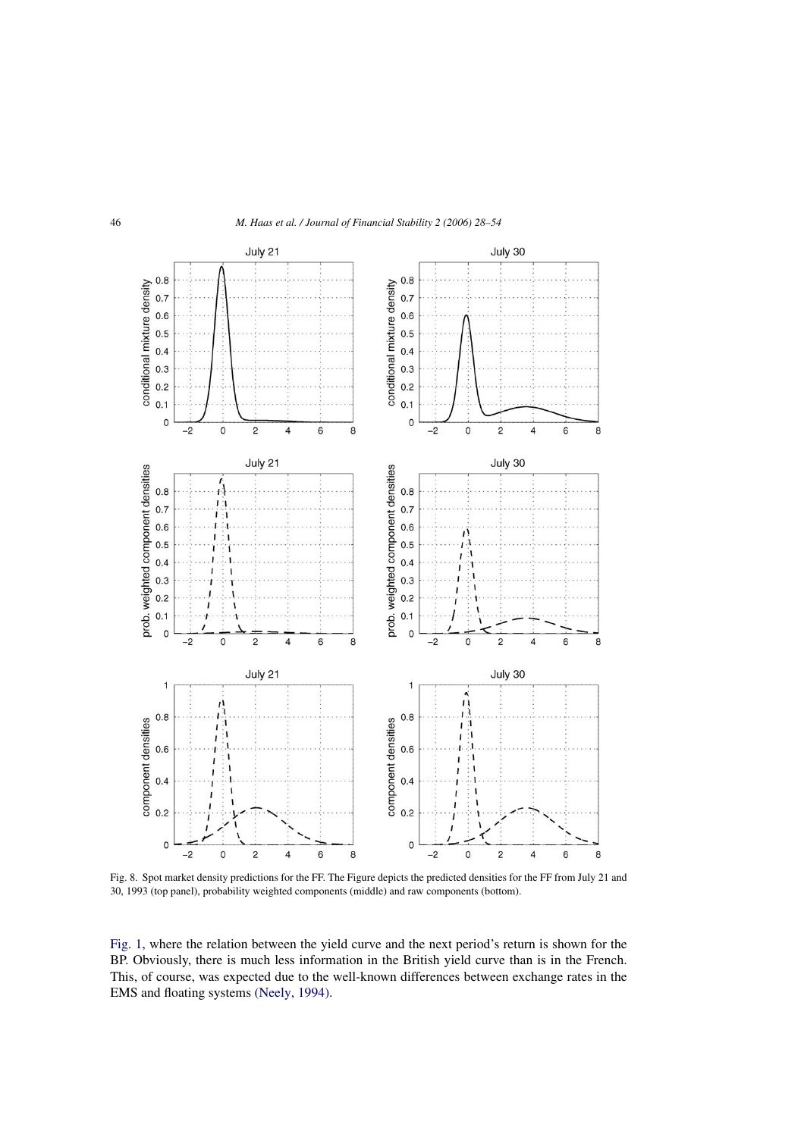<span id="page-18-0"></span>

Fig. 8. Spot market density predictions for the FF. The Figure depicts the predicted densities for the FF from July 21 and 30, 1993 (top panel), probability weighted components (middle) and raw components (bottom).

[Fig. 1,](#page-8-0) where the relation between the yield curve and the next period's return is shown for the BP. Obviously, there is much less information in the British yield curve than is in the French. This, of course, was expected due to the well-known differences between exchange rates in the EMS and floating systems [\(Neely, 1994\).](#page-26-0)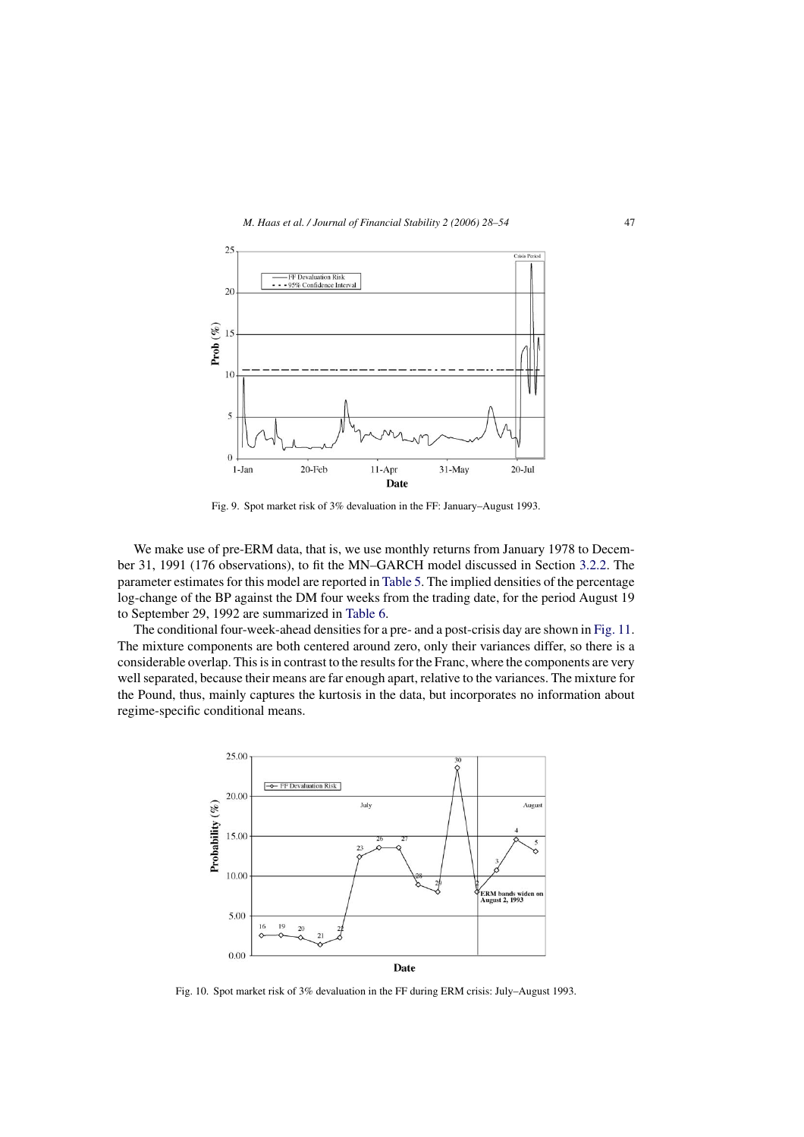<span id="page-19-0"></span>

Fig. 9. Spot market risk of 3% devaluation in the FF: January–August 1993.

We make use of pre-ERM data, that is, we use monthly returns from January 1978 to December 31, 1991 (176 observations), to fit the MN–GARCH model discussed in Section [3.2.2.](#page-9-0) The parameter estimates for this model are reported in [Table 5. T](#page-20-0)he implied densities of the percentage log-change of the BP against the DM four weeks from the trading date, for the period August 19 to September 29, 1992 are summarized in [Table 6.](#page-21-0)

The conditional four-week-ahead densities for a pre- and a post-crisis day are shown in [Fig. 11.](#page-22-0) The mixture components are both centered around zero, only their variances differ, so there is a considerable overlap. This is in contrast to the results for the Franc, where the components are very well separated, because their means are far enough apart, relative to the variances. The mixture for the Pound, thus, mainly captures the kurtosis in the data, but incorporates no information about regime-specific conditional means.



Fig. 10. Spot market risk of 3% devaluation in the FF during ERM crisis: July–August 1993.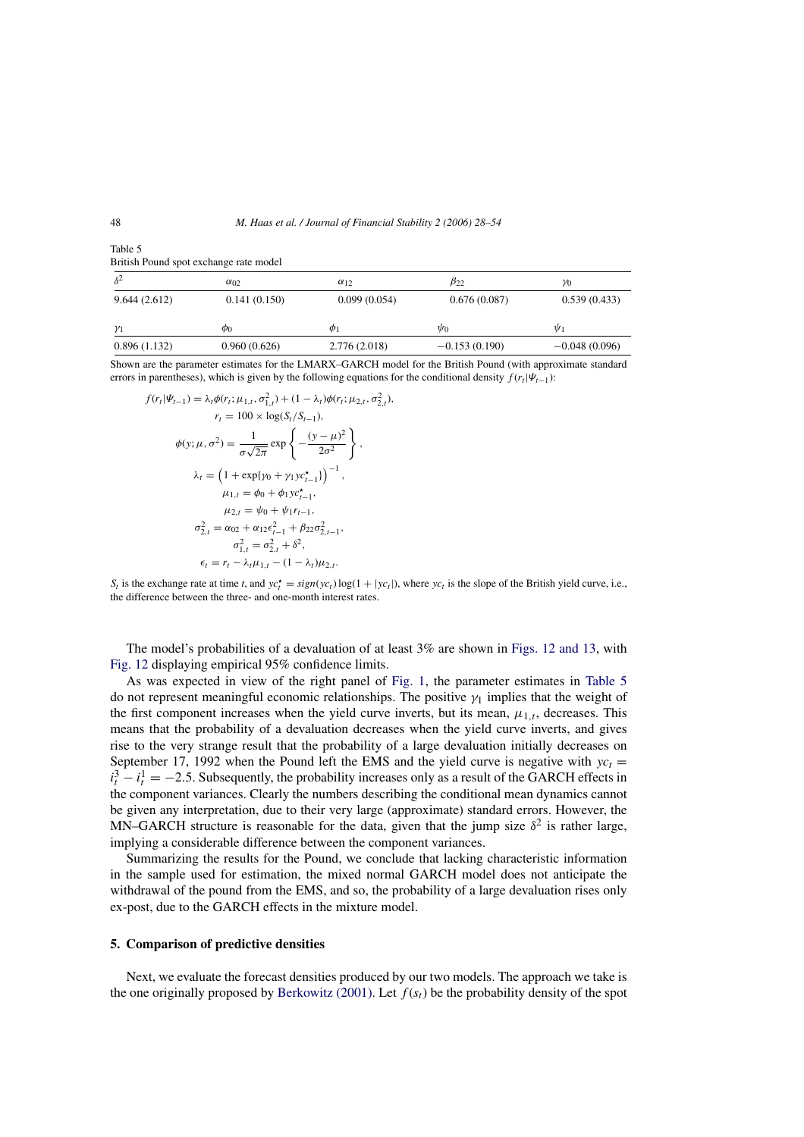| $\delta^2$   | $\alpha_{02}$ | $\alpha_{12}$ | $\beta_{22}$    | $\gamma_0$      |
|--------------|---------------|---------------|-----------------|-----------------|
| 9.644(2.612) | 0.141(0.150)  | 0.099(0.054)  | 0.676(0.087)    | 0.539(0.433)    |
| $\gamma_1$   | $\phi_0$      | $\phi_1$      | $\psi_0$        | $\psi_1$        |
| 0.896(1.132) | 0.960(0.626)  | 2.776(2.018)  | $-0.153(0.190)$ | $-0.048(0.096)$ |

<span id="page-20-0"></span>Table 5 British Pound spot exchange rate model

Shown are the parameter estimates for the LMARX–GARCH model for the British Pound (with approximate standard errors in parentheses), which is given by the following equations for the conditional density  $f(r_t|\Psi_{t-1})$ :

$$
f(r_l|\Psi_{t-1}) = \lambda_t \phi(r_l; \mu_{1,t}, \sigma_{1,t}^2) + (1 - \lambda_t) \phi(r_l; \mu_{2,t}, \sigma_{2,t}^2),
$$
  
\n
$$
r_t = 100 \times \log(S_t/S_{t-1}),
$$
  
\n
$$
\phi(y; \mu, \sigma^2) = \frac{1}{\sigma \sqrt{2\pi}} \exp\left\{-\frac{(y - \mu)^2}{2\sigma^2}\right\},
$$
  
\n
$$
\lambda_t = \left(1 + \exp\{\gamma_0 + \gamma_1 y c_{t-1}^*\}\right)^{-1},
$$
  
\n
$$
\mu_{1,t} = \phi_0 + \phi_1 y c_{t-1}^*,
$$
  
\n
$$
\mu_{2,t} = \psi_0 + \psi_1 r_{t-1},
$$
  
\n
$$
\sigma_{2,t}^2 = \alpha_{02} + \alpha_{12} \epsilon_{t-1}^2 + \beta_{22} \sigma_{2,t-1}^2,
$$
  
\n
$$
\sigma_{1,t}^2 = \sigma_{2,t}^2 + \delta^2,
$$
  
\n
$$
\epsilon_t = r_t - \lambda_t \mu_{1,t} - (1 - \lambda_t) \mu_{2,t}.
$$

 $S_t$  is the exchange rate at time *t*, and  $yc_t^* = sign(yc_t) \log(1 + |yc_t|)$ , where  $yc_t$  is the slope of the British yield curve, i.e., the difference between the three- and one-month interest rates.

The model's probabilities of a devaluation of at least 3% are shown in [Figs. 12 and 13,](#page-23-0) with [Fig. 12](#page-23-0) displaying empirical 95% confidence limits.

As was expected in view of the right panel of [Fig. 1,](#page-8-0) the parameter estimates in Table 5 do not represent meaningful economic relationships. The positive  $\gamma_1$  implies that the weight of the first component increases when the yield curve inverts, but its mean,  $\mu_{1,t}$ , decreases. This means that the probability of a devaluation decreases when the yield curve inverts, and gives rise to the very strange result that the probability of a large devaluation initially decreases on September 17, 1992 when the Pound left the EMS and the yield curve is negative with  $y_c$  =  $i_t^3 - i_t^1 = -2.5$ . Subsequently, the probability increases only as a result of the GARCH effects in the component variances. Clearly the numbers describing the conditional mean dynamics cannot be given any interpretation, due to their very large (approximate) standard errors. However, the MN–GARCH structure is reasonable for the data, given that the jump size  $\delta^2$  is rather large, implying a considerable difference between the component variances.

Summarizing the results for the Pound, we conclude that lacking characteristic information in the sample used for estimation, the mixed normal GARCH model does not anticipate the withdrawal of the pound from the EMS, and so, the probability of a large devaluation rises only ex-post, due to the GARCH effects in the mixture model.

# **5. Comparison of predictive densities**

Next, we evaluate the forecast densities produced by our two models. The approach we take is the one originally proposed by [Berkowitz \(2001\).](#page-25-0) Let  $f(s_t)$  be the probability density of the spot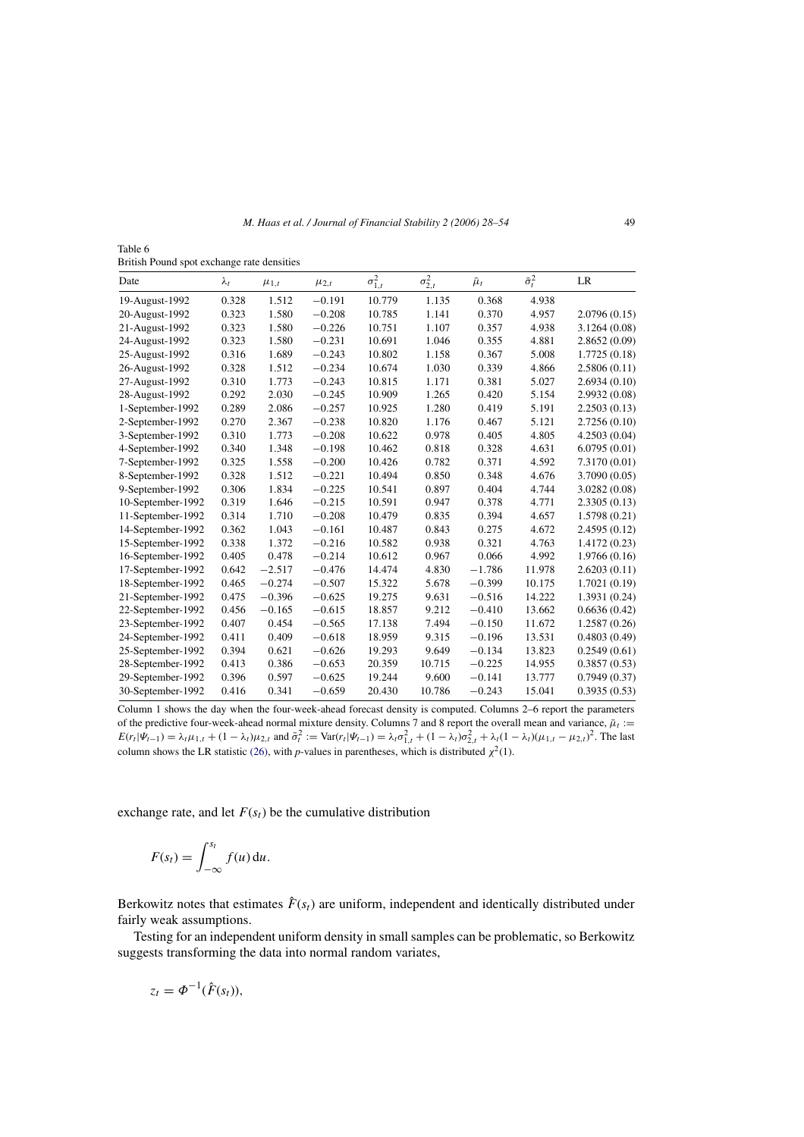<span id="page-21-0"></span>Table 6 British Pound spot exchange rate densities

| Date              | $\lambda_t$ | $\mu_{1,t}$ | $\mu_{2,t}$ | $\sigma_{1,t}^2$ | $\sigma_{2,t}^2$ | $\bar{\mu}_t$ | $\bar{\sigma}_t^2$ | LR            |
|-------------------|-------------|-------------|-------------|------------------|------------------|---------------|--------------------|---------------|
| 19-August-1992    | 0.328       | 1.512       | $-0.191$    | 10.779           | 1.135            | 0.368         | 4.938              |               |
| 20-August-1992    | 0.323       | 1.580       | $-0.208$    | 10.785           | 1.141            | 0.370         | 4.957              | 2.0796(0.15)  |
| 21-August-1992    | 0.323       | 1.580       | $-0.226$    | 10.751           | 1.107            | 0.357         | 4.938              | 3.1264(0.08)  |
| 24-August-1992    | 0.323       | 1.580       | $-0.231$    | 10.691           | 1.046            | 0.355         | 4.881              | 2.8652(0.09)  |
| 25-August-1992    | 0.316       | 1.689       | $-0.243$    | 10.802           | 1.158            | 0.367         | 5.008              | 1.7725(0.18)  |
| 26-August-1992    | 0.328       | 1.512       | $-0.234$    | 10.674           | 1.030            | 0.339         | 4.866              | 2.5806(0.11)  |
| 27-August-1992    | 0.310       | 1.773       | $-0.243$    | 10.815           | 1.171            | 0.381         | 5.027              | 2.6934(0.10)  |
| 28-August-1992    | 0.292       | 2.030       | $-0.245$    | 10.909           | 1.265            | 0.420         | 5.154              | 2.9932 (0.08) |
| 1-September-1992  | 0.289       | 2.086       | $-0.257$    | 10.925           | 1.280            | 0.419         | 5.191              | 2.2503(0.13)  |
| 2-September-1992  | 0.270       | 2.367       | $-0.238$    | 10.820           | 1.176            | 0.467         | 5.121              | 2.7256(0.10)  |
| 3-September-1992  | 0.310       | 1.773       | $-0.208$    | 10.622           | 0.978            | 0.405         | 4.805              | 4.2503(0.04)  |
| 4-September-1992  | 0.340       | 1.348       | $-0.198$    | 10.462           | 0.818            | 0.328         | 4.631              | 6.0795(0.01)  |
| 7-September-1992  | 0.325       | 1.558       | $-0.200$    | 10.426           | 0.782            | 0.371         | 4.592              | 7.3170 (0.01) |
| 8-September-1992  | 0.328       | 1.512       | $-0.221$    | 10.494           | 0.850            | 0.348         | 4.676              | 3.7090 (0.05) |
| 9-September-1992  | 0.306       | 1.834       | $-0.225$    | 10.541           | 0.897            | 0.404         | 4.744              | 3.0282(0.08)  |
| 10-September-1992 | 0.319       | 1.646       | $-0.215$    | 10.591           | 0.947            | 0.378         | 4.771              | 2.3305(0.13)  |
| 11-September-1992 | 0.314       | 1.710       | $-0.208$    | 10.479           | 0.835            | 0.394         | 4.657              | 1.5798(0.21)  |
| 14-September-1992 | 0.362       | 1.043       | $-0.161$    | 10.487           | 0.843            | 0.275         | 4.672              | 2.4595(0.12)  |
| 15-September-1992 | 0.338       | 1.372       | $-0.216$    | 10.582           | 0.938            | 0.321         | 4.763              | 1.4172 (0.23) |
| 16-September-1992 | 0.405       | 0.478       | $-0.214$    | 10.612           | 0.967            | 0.066         | 4.992              | 1.9766 (0.16) |
| 17-September-1992 | 0.642       | $-2.517$    | $-0.476$    | 14.474           | 4.830            | $-1.786$      | 11.978             | 2.6203(0.11)  |
| 18-September-1992 | 0.465       | $-0.274$    | $-0.507$    | 15.322           | 5.678            | $-0.399$      | 10.175             | 1.7021 (0.19) |
| 21-September-1992 | 0.475       | $-0.396$    | $-0.625$    | 19.275           | 9.631            | $-0.516$      | 14.222             | 1.3931 (0.24) |
| 22-September-1992 | 0.456       | $-0.165$    | $-0.615$    | 18.857           | 9.212            | $-0.410$      | 13.662             | 0.6636(0.42)  |
| 23-September-1992 | 0.407       | 0.454       | $-0.565$    | 17.138           | 7.494            | $-0.150$      | 11.672             | 1.2587 (0.26) |
| 24-September-1992 | 0.411       | 0.409       | $-0.618$    | 18.959           | 9.315            | $-0.196$      | 13.531             | 0.4803(0.49)  |
| 25-September-1992 | 0.394       | 0.621       | $-0.626$    | 19.293           | 9.649            | $-0.134$      | 13.823             | 0.2549(0.61)  |
| 28-September-1992 | 0.413       | 0.386       | $-0.653$    | 20.359           | 10.715           | $-0.225$      | 14.955             | 0.3857(0.53)  |
| 29-September-1992 | 0.396       | 0.597       | $-0.625$    | 19.244           | 9.600            | $-0.141$      | 13.777             | 0.7949(0.37)  |
| 30-September-1992 | 0.416       | 0.341       | $-0.659$    | 20.430           | 10.786           | $-0.243$      | 15.041             | 0.3935(0.53)  |

Column 1 shows the day when the four-week-ahead forecast density is computed. Columns 2–6 report the parameters of the predictive four-week-ahead normal mixture density. Columns 7 and 8 report the overall mean and variance,  $\bar{\mu}_t$  :=  $E(r_t|\Psi_{t-1}) = \lambda_t \mu_{1,t} + (1 - \lambda_t)\mu_{2,t}$  and  $\bar{\sigma}_t^2 := \text{Var}(r_t|\Psi_{t-1}) = \lambda_t \sigma_{1,t}^2 + (1 - \lambda_t)\sigma_{2,t}^2 + \lambda_t (1 - \lambda_t)(\mu_{1,t} - \mu_{2,t})^2$ . The last column shows the LR statistic [\(26\), w](#page-22-0)ith *p*-values in parentheses, which is distributed  $\chi^2(1)$ .

exchange rate, and let  $F(s_t)$  be the cumulative distribution

$$
F(s_t) = \int_{-\infty}^{s_t} f(u) \, \mathrm{d}u.
$$

Berkowitz notes that estimates  $\hat{F}(s_t)$  are uniform, independent and identically distributed under fairly weak assumptions.

Testing for an independent uniform density in small samples can be problematic, so Berkowitz suggests transforming the data into normal random variates,

$$
z_t = \Phi^{-1}(\hat{F}(s_t)),
$$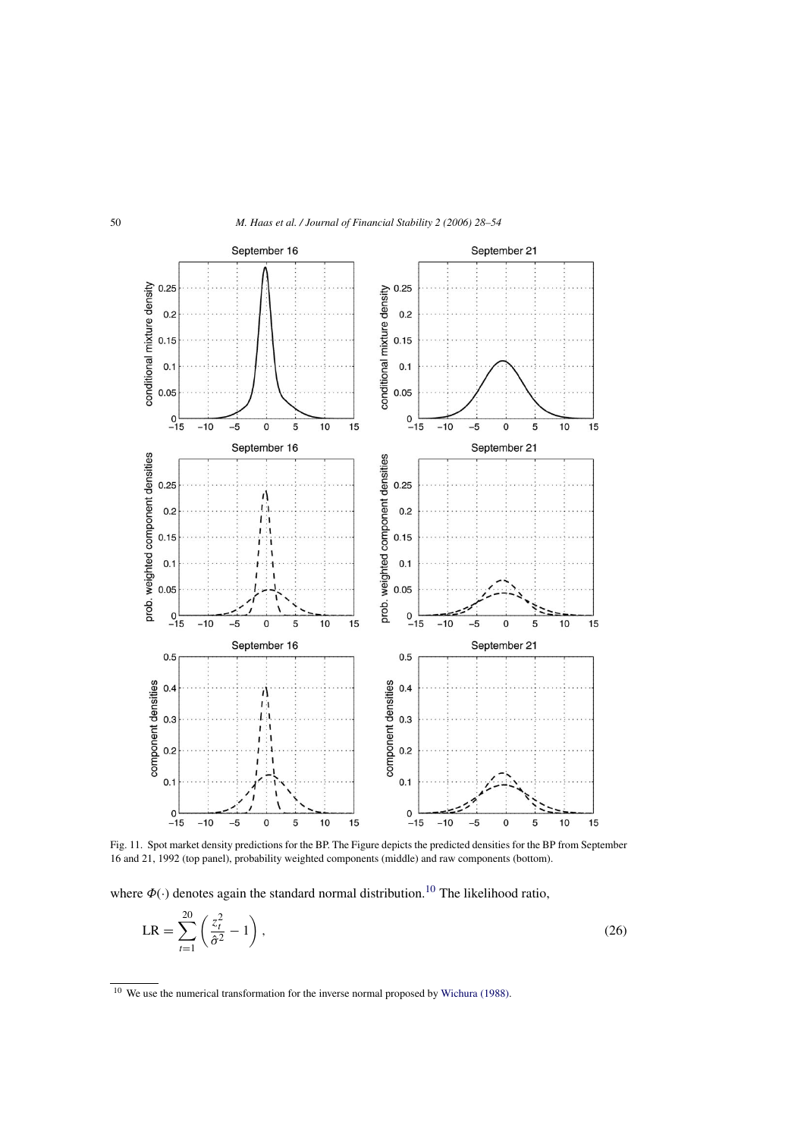<span id="page-22-0"></span>

Fig. 11. Spot market density predictions for the BP. The Figure depicts the predicted densities for the BP from September 16 and 21, 1992 (top panel), probability weighted components (middle) and raw components (bottom).

where  $\Phi(\cdot)$  denotes again the standard normal distribution.<sup>10</sup> The likelihood ratio,

$$
LR = \sum_{t=1}^{20} \left( \frac{z_t^2}{\hat{\sigma}^2} - 1 \right),
$$
 (26)

<sup>&</sup>lt;sup>10</sup> We use the numerical transformation for the inverse normal proposed by [Wichura \(1988\).](#page-26-0)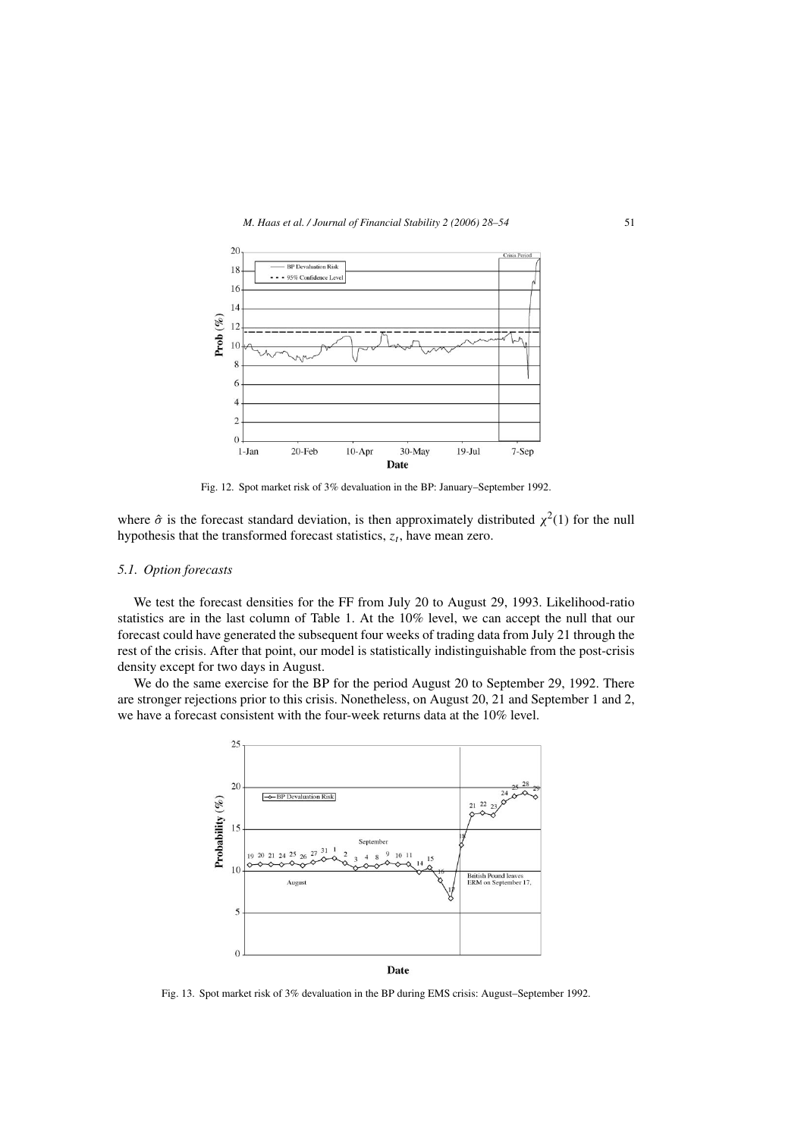<span id="page-23-0"></span>

Fig. 12. Spot market risk of 3% devaluation in the BP: January–September 1992.

where  $\hat{\sigma}$  is the forecast standard deviation, is then approximately distributed  $\chi^2(1)$  for the null hypothesis that the transformed forecast statistics,  $z_t$ , have mean zero.

# *5.1. Option forecasts*

We test the forecast densities for the FF from July 20 to August 29, 1993. Likelihood-ratio statistics are in the last column of Table 1. At the 10% level, we can accept the null that our forecast could have generated the subsequent four weeks of trading data from July 21 through the rest of the crisis. After that point, our model is statistically indistinguishable from the post-crisis density except for two days in August.

We do the same exercise for the BP for the period August 20 to September 29, 1992. There are stronger rejections prior to this crisis. Nonetheless, on August 20, 21 and September 1 and 2, we have a forecast consistent with the four-week returns data at the 10% level.



Fig. 13. Spot market risk of 3% devaluation in the BP during EMS crisis: August–September 1992.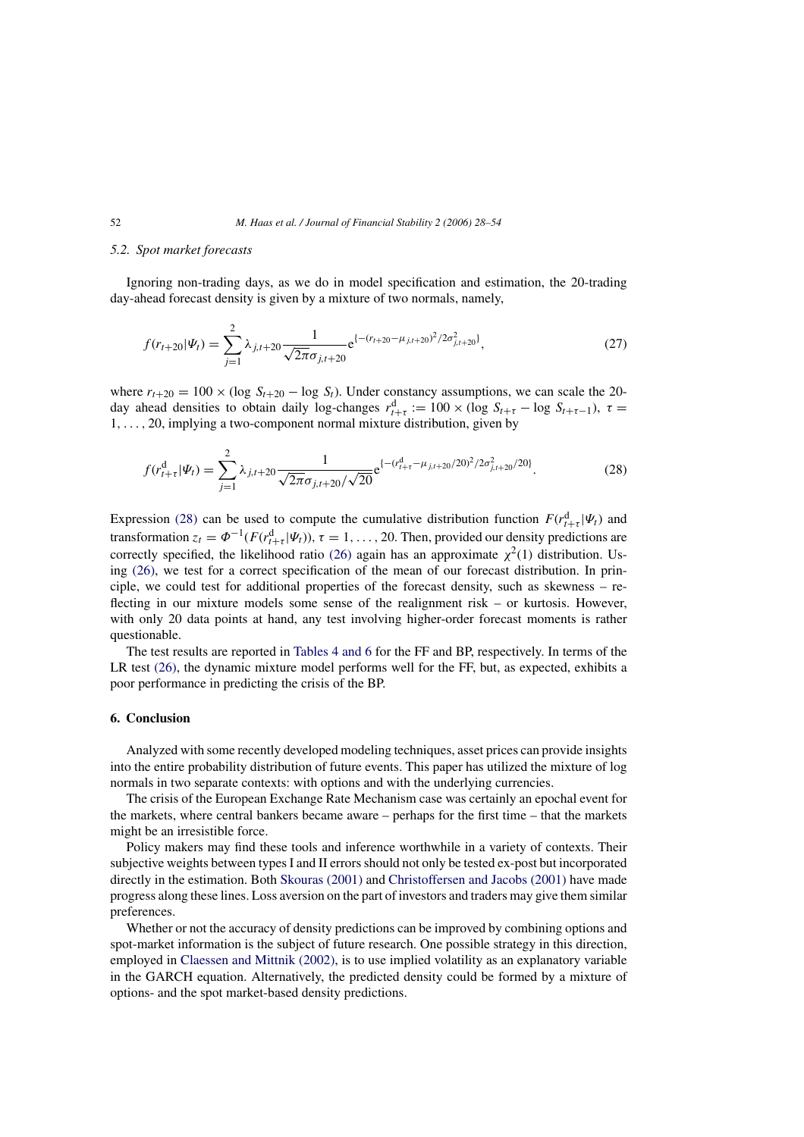#### <span id="page-24-0"></span>*5.2. Spot market forecasts*

Ignoring non-trading days, as we do in model specification and estimation, the 20-trading day-ahead forecast density is given by a mixture of two normals, namely,

$$
f(r_{t+20}|\Psi_t) = \sum_{j=1}^2 \lambda_{j,t+20} \frac{1}{\sqrt{2\pi}\sigma_{j,t+20}} e^{\left\{-(r_{t+20} - \mu_{j,t+20})^2/2\sigma_{j,t+20}^2\right\}},\tag{27}
$$

where  $r_{t+20} = 100 \times (\log S_{t+20} - \log S_t)$ . Under constancy assumptions, we can scale the 20day ahead densities to obtain daily log-changes  $r_{t+\tau}^d := 100 \times (\log S_{t+\tau} - \log S_{t+\tau-1}), \tau =$ 1,..., 20, implying a two-component normal mixture distribution, given by

$$
f(r_{t+\tau}^{\rm d}|\Psi_t) = \sum_{j=1}^2 \lambda_{j,t+20} \frac{1}{\sqrt{2\pi}\sigma_{j,t+20}/\sqrt{20}} e^{\{- (r_{t+\tau}^{\rm d} - \mu_{j,t+20}/20)^2/2\sigma_{j,t+20}^2/20\}}.
$$
 (28)

Expression (28) can be used to compute the cumulative distribution function  $F(r_{t+\tau}^d|\Psi_t)$  and transformation  $z_t = \Phi^{-1}(F(r_{t+\tau}^d|\Psi_t))$ ,  $\tau = 1, ..., 20$ . Then, provided our density predictions are correctly specified, the likelihood ratio [\(26\)](#page-22-0) again has an approximate  $\chi^2(1)$  distribution. Using [\(26\),](#page-22-0) we test for a correct specification of the mean of our forecast distribution. In principle, we could test for additional properties of the forecast density, such as skewness – reflecting in our mixture models some sense of the realignment risk – or kurtosis. However, with only 20 data points at hand, any test involving higher-order forecast moments is rather questionable.

The test results are reported in [Tables 4 and 6](#page-17-0) for the FF and BP, respectively. In terms of the LR test [\(26\),](#page-22-0) the dynamic mixture model performs well for the FF, but, as expected, exhibits a poor performance in predicting the crisis of the BP.

# **6. Conclusion**

Analyzed with some recently developed modeling techniques, asset prices can provide insights into the entire probability distribution of future events. This paper has utilized the mixture of log normals in two separate contexts: with options and with the underlying currencies.

The crisis of the European Exchange Rate Mechanism case was certainly an epochal event for the markets, where central bankers became aware – perhaps for the first time – that the markets might be an irresistible force.

Policy makers may find these tools and inference worthwhile in a variety of contexts. Their subjective weights between types I and II errors should not only be tested ex-post but incorporated directly in the estimation. Both [Skouras \(2001\)](#page-26-0) and [Christoffersen and Jacobs \(2001\)](#page-25-0) have made progress along these lines. Loss aversion on the part of investors and traders may give them similar preferences.

Whether or not the accuracy of density predictions can be improved by combining options and spot-market information is the subject of future research. One possible strategy in this direction, employed in [Claessen and Mittnik \(2002\), i](#page-25-0)s to use implied volatility as an explanatory variable in the GARCH equation. Alternatively, the predicted density could be formed by a mixture of options- and the spot market-based density predictions.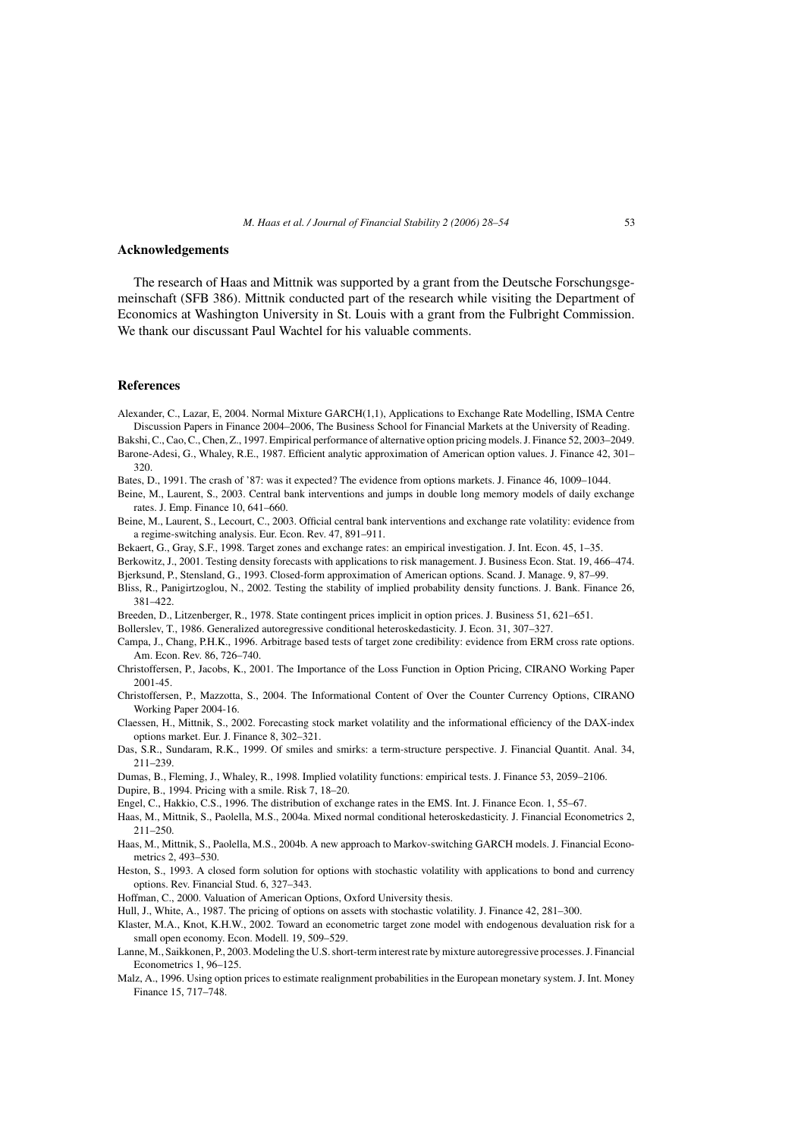#### <span id="page-25-0"></span>**Acknowledgements**

The research of Haas and Mittnik was supported by a grant from the Deutsche Forschungsgemeinschaft (SFB 386). Mittnik conducted part of the research while visiting the Department of Economics at Washington University in St. Louis with a grant from the Fulbright Commission. We thank our discussant Paul Wachtel for his valuable comments.

# **References**

Alexander, C., Lazar, E, 2004. Normal Mixture GARCH(1,1), Applications to Exchange Rate Modelling, ISMA Centre Discussion Papers in Finance 2004–2006, The Business School for Financial Markets at the University of Reading.

Bakshi, C., Cao, C., Chen, Z., 1997. Empirical performance of alternative option pricing models. J. Finance 52, 2003–2049.

- Barone-Adesi, G., Whaley, R.E., 1987. Efficient analytic approximation of American option values. J. Finance 42, 301– 320.
- Bates, D., 1991. The crash of '87: was it expected? The evidence from options markets. J. Finance 46, 1009–1044.
- Beine, M., Laurent, S., 2003. Central bank interventions and jumps in double long memory models of daily exchange rates. J. Emp. Finance 10, 641–660.
- Beine, M., Laurent, S., Lecourt, C., 2003. Official central bank interventions and exchange rate volatility: evidence from a regime-switching analysis. Eur. Econ. Rev. 47, 891–911.
- Bekaert, G., Gray, S.F., 1998. Target zones and exchange rates: an empirical investigation. J. Int. Econ. 45, 1–35.
- Berkowitz, J., 2001. Testing density forecasts with applications to risk management. J. Business Econ. Stat. 19, 466–474. Bjerksund, P., Stensland, G., 1993. Closed-form approximation of American options. Scand. J. Manage. 9, 87–99.

Bliss, R., Panigirtzoglou, N., 2002. Testing the stability of implied probability density functions. J. Bank. Finance 26, 381–422.

- Breeden, D., Litzenberger, R., 1978. State contingent prices implicit in option prices. J. Business 51, 621–651.
- Bollerslev, T., 1986. Generalized autoregressive conditional heteroskedasticity. J. Econ. 31, 307–327.
- Campa, J., Chang, P.H.K., 1996. Arbitrage based tests of target zone credibility: evidence from ERM cross rate options. Am. Econ. Rev. 86, 726–740.
- Christoffersen, P., Jacobs, K., 2001. The Importance of the Loss Function in Option Pricing, CIRANO Working Paper 2001-45.
- Christoffersen, P., Mazzotta, S., 2004. The Informational Content of Over the Counter Currency Options, CIRANO Working Paper 2004-16.
- Claessen, H., Mittnik, S., 2002. Forecasting stock market volatility and the informational efficiency of the DAX-index options market. Eur. J. Finance 8, 302–321.
- Das, S.R., Sundaram, R.K., 1999. Of smiles and smirks: a term-structure perspective. J. Financial Quantit. Anal. 34, 211–239.
- Dumas, B., Fleming, J., Whaley, R., 1998. Implied volatility functions: empirical tests. J. Finance 53, 2059–2106.
- Dupire, B., 1994. Pricing with a smile. Risk 7, 18–20.
- Engel, C., Hakkio, C.S., 1996. The distribution of exchange rates in the EMS. Int. J. Finance Econ. 1, 55–67.
- Haas, M., Mittnik, S., Paolella, M.S., 2004a. Mixed normal conditional heteroskedasticity. J. Financial Econometrics 2, 211–250.
- Haas, M., Mittnik, S., Paolella, M.S., 2004b. A new approach to Markov-switching GARCH models. J. Financial Econometrics 2, 493–530.
- Heston, S., 1993. A closed form solution for options with stochastic volatility with applications to bond and currency options. Rev. Financial Stud. 6, 327–343.
- Hoffman, C., 2000. Valuation of American Options, Oxford University thesis.
- Hull, J., White, A., 1987. The pricing of options on assets with stochastic volatility. J. Finance 42, 281–300.
- Klaster, M.A., Knot, K.H.W., 2002. Toward an econometric target zone model with endogenous devaluation risk for a small open economy. Econ. Modell. 19, 509–529.
- Lanne, M., Saikkonen, P., 2003. Modeling the U.S. short-term interest rate by mixture autoregressive processes. J. Financial Econometrics 1, 96–125.
- Malz, A., 1996. Using option prices to estimate realignment probabilities in the European monetary system. J. Int. Money Finance 15, 717–748.